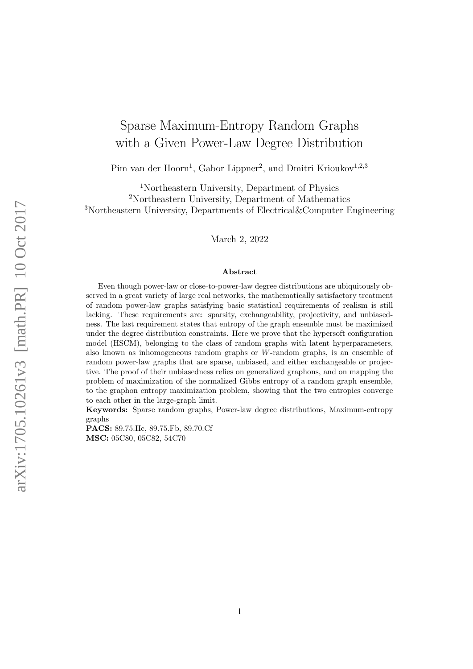# Sparse Maximum-Entropy Random Graphs with a Given Power-Law Degree Distribution

Pim van der Hoorn<sup>1</sup>, Gabor Lippner<sup>2</sup>, and Dmitri Krioukov<sup>1,2,3</sup>

<sup>1</sup>Northeastern University, Department of Physics <sup>2</sup>Northeastern University, Department of Mathematics <sup>3</sup>Northeastern University, Departments of Electrical&Computer Engineering

March 2, 2022

#### Abstract

Even though power-law or close-to-power-law degree distributions are ubiquitously observed in a great variety of large real networks, the mathematically satisfactory treatment of random power-law graphs satisfying basic statistical requirements of realism is still lacking. These requirements are: sparsity, exchangeability, projectivity, and unbiasedness. The last requirement states that entropy of the graph ensemble must be maximized under the degree distribution constraints. Here we prove that the hypersoft configuration model (HSCM), belonging to the class of random graphs with latent hyperparameters, also known as inhomogeneous random graphs or W-random graphs, is an ensemble of random power-law graphs that are sparse, unbiased, and either exchangeable or projective. The proof of their unbiasedness relies on generalized graphons, and on mapping the problem of maximization of the normalized Gibbs entropy of a random graph ensemble, to the graphon entropy maximization problem, showing that the two entropies converge to each other in the large-graph limit.

Keywords: Sparse random graphs, Power-law degree distributions, Maximum-entropy graphs

PACS: 89.75.Hc, 89.75.Fb, 89.70.Cf MSC: 05C80, 05C82, 54C70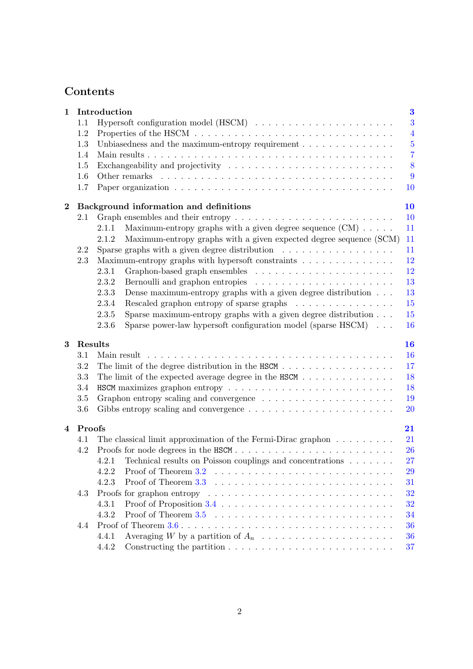## Contents

| $\mathbf 1$ |          | Introduction                                                                                           | $\bf{3}$       |
|-------------|----------|--------------------------------------------------------------------------------------------------------|----------------|
|             | 1.1      |                                                                                                        | 3              |
|             | 1.2      |                                                                                                        | $\overline{4}$ |
|             | 1.3      | Unbiasedness and the maximum-entropy requirement                                                       | $\overline{5}$ |
|             | 1.4      |                                                                                                        | $\overline{7}$ |
|             | 1.5      |                                                                                                        | 8              |
|             | 1.6      |                                                                                                        | 9              |
|             | 1.7      |                                                                                                        | 10             |
| $\bf{2}$    |          | Background information and definitions                                                                 | 10             |
|             | 2.1      | Graph ensembles and their entropy $\dots \dots \dots \dots \dots \dots \dots \dots \dots \dots$        | 10             |
|             |          | Maximum-entropy graphs with a given degree sequence $(CM) \dots$ .<br>2.1.1                            | 11             |
|             |          | Maximum-entropy graphs with a given expected degree sequence (SCM)<br>2.1.2                            | 11             |
|             | 2.2      | Sparse graphs with a given degree distribution $\ldots \ldots \ldots \ldots \ldots$                    | 11             |
|             | 2.3      | Maximum-entropy graphs with hypersoft constraints                                                      | 12             |
|             |          | 2.3.1                                                                                                  | 12             |
|             |          | 2.3.2                                                                                                  | 13             |
|             |          | Dense maximum-entropy graphs with a given degree distribution<br>2.3.3                                 | 13             |
|             |          | Rescaled graphon entropy of sparse graphs<br>2.3.4                                                     | 15             |
|             |          | Sparse maximum-entropy graphs with a given degree distribution $\ldots$<br>2.3.5                       | 15             |
|             |          | Sparse power-law hypersoft configuration model (sparse $HSCM$ )<br>2.3.6                               | 16             |
| 3           | Results  |                                                                                                        | 16             |
|             | 3.1      | Main result                                                                                            | 16             |
|             | 3.2      | The limit of the degree distribution in the HSCM                                                       | 17             |
|             | 3.3      |                                                                                                        | 18             |
|             | 3.4      |                                                                                                        | 18             |
|             | 3.5      |                                                                                                        | 19             |
|             | 3.6      |                                                                                                        | 20             |
|             | 4 Proofs |                                                                                                        | 21             |
|             | 4.1      | The classical limit approximation of the Fermi-Dirac graphon $\dots \dots \dots$                       | 21             |
|             | 4.2      | Proofs for node degrees in the HSCM                                                                    | 26             |
|             |          | 4.2.1 Technical results on Poisson couplings and concentrations                                        | 27             |
|             |          | 4.2.2                                                                                                  | 29             |
|             |          | 4.2.3                                                                                                  | 31             |
|             | 4.3      |                                                                                                        | 32             |
|             |          | 4.3.1                                                                                                  | 32             |
|             |          | 4.3.2                                                                                                  | 34             |
|             |          |                                                                                                        |                |
|             | 4.4      |                                                                                                        | 36             |
|             |          | 4.4.1<br>4.4.2<br>Constructing the partition $\ldots \ldots \ldots \ldots \ldots \ldots \ldots \ldots$ | 36<br>37       |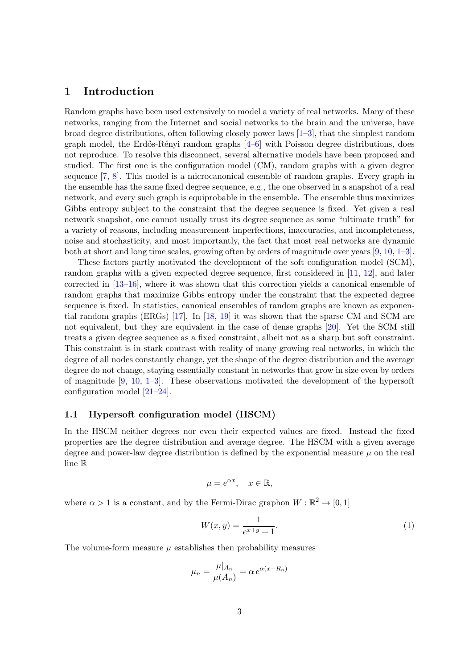### <span id="page-2-0"></span>1 Introduction

Random graphs have been used extensively to model a variety of real networks. Many of these networks, ranging from the Internet and social networks to the brain and the universe, have broad degree distributions, often following closely power laws  $[1-3]$  $[1-3]$ , that the simplest random graph model, the Erdős-Rényi random graphs  $[4-6]$  $[4-6]$  with Poisson degree distributions, does not reproduce. To resolve this disconnect, several alternative models have been proposed and studied. The first one is the configuration model (CM), random graphs with a given degree sequence [\[7,](#page-38-4) [8\]](#page-38-5). This model is a microcanonical ensemble of random graphs. Every graph in the ensemble has the same fixed degree sequence, e.g., the one observed in a snapshot of a real network, and every such graph is equiprobable in the ensemble. The ensemble thus maximizes Gibbs entropy subject to the constraint that the degree sequence is fixed. Yet given a real network snapshot, one cannot usually trust its degree sequence as some "ultimate truth" for a variety of reasons, including measurement imperfections, inaccuracies, and incompleteness, noise and stochasticity, and most importantly, the fact that most real networks are dynamic both at short and long time scales, growing often by orders of magnitude over years [\[9,](#page-38-6) [10,](#page-38-7) [1–](#page-38-0)[3\]](#page-38-1).

These factors partly motivated the development of the soft configuration model (SCM), random graphs with a given expected degree sequence, first considered in [\[11,](#page-39-0) [12\]](#page-39-1), and later corrected in [\[13–](#page-39-2)[16\]](#page-39-3), where it was shown that this correction yields a canonical ensemble of random graphs that maximize Gibbs entropy under the constraint that the expected degree sequence is fixed. In statistics, canonical ensembles of random graphs are known as exponential random graphs (ERGs) [\[17\]](#page-39-4). In [\[18,](#page-39-5) [19\]](#page-39-6) it was shown that the sparse CM and SCM are not equivalent, but they are equivalent in the case of dense graphs [\[20\]](#page-39-7). Yet the SCM still treats a given degree sequence as a fixed constraint, albeit not as a sharp but soft constraint. This constraint is in stark contrast with reality of many growing real networks, in which the degree of all nodes constantly change, yet the shape of the degree distribution and the average degree do not change, staying essentially constant in networks that grow in size even by orders of magnitude  $[9, 10, 1-3]$  $[9, 10, 1-3]$  $[9, 10, 1-3]$  $[9, 10, 1-3]$  $[9, 10, 1-3]$ . These observations motivated the development of the hypersoft configuration model [\[21](#page-39-8)[–24\]](#page-39-9).

#### <span id="page-2-1"></span>1.1 Hypersoft configuration model (HSCM)

In the HSCM neither degrees nor even their expected values are fixed. Instead the fixed properties are the degree distribution and average degree. The HSCM with a given average degree and power-law degree distribution is defined by the exponential measure  $\mu$  on the real line R

$$
\mu = e^{\alpha x}, \quad x \in \mathbb{R},
$$

where  $\alpha > 1$  is a constant, and by the Fermi-Dirac graphon  $W : \mathbb{R}^2 \to [0,1]$ 

<span id="page-2-2"></span>
$$
W(x,y) = \frac{1}{e^{x+y} + 1}.
$$
\n(1)

The volume-form measure  $\mu$  establishes then probability measures

$$
\mu_n = \frac{\mu|_{A_n}}{\mu(A_n)} = \alpha e^{\alpha(x - R_n)}
$$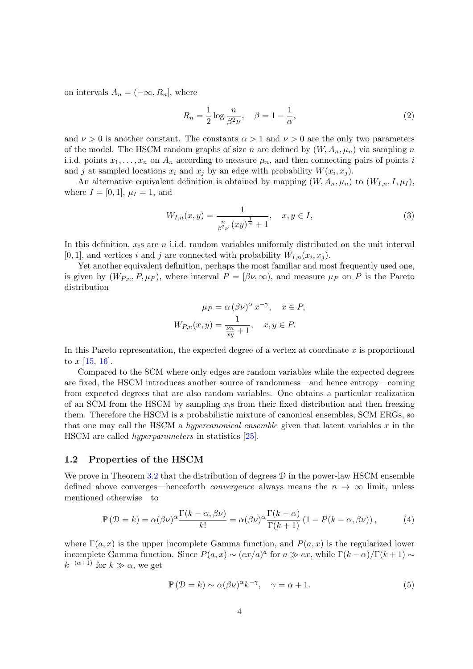on intervals  $A_n = (-\infty, R_n]$ , where

<span id="page-3-3"></span>
$$
R_n = \frac{1}{2} \log \frac{n}{\beta^2 \nu}, \quad \beta = 1 - \frac{1}{\alpha}, \tag{2}
$$

and  $\nu > 0$  is another constant. The constants  $\alpha > 1$  and  $\nu > 0$  are the only two parameters of the model. The HSCM random graphs of size n are defined by  $(W, A_n, \mu_n)$  via sampling n i.i.d. points  $x_1, \ldots, x_n$  on  $A_n$  according to measure  $\mu_n$ , and then connecting pairs of points i and j at sampled locations  $x_i$  and  $x_j$  by an edge with probability  $W(x_i, x_j)$ .

An alternative equivalent definition is obtained by mapping  $(W, A_n, \mu_n)$  to  $(W_{I,n}, I, \mu_I)$ , where  $I = [0, 1], \mu_I = 1$ , and

<span id="page-3-2"></span>
$$
W_{I,n}(x,y) = \frac{1}{\frac{n}{\beta^2 \nu} (xy)^{\frac{1}{\alpha}} + 1}, \quad x, y \in I,
$$
\n(3)

In this definition,  $x_i$ s are n i.i.d. random variables uniformly distributed on the unit interval [0, 1], and vertices i and j are connected with probability  $W_{I,n}(x_i, x_j)$ .

Yet another equivalent definition, perhaps the most familiar and most frequently used one, is given by  $(W_{P,n}, P, \mu_P)$ , where interval  $P = [\beta \nu, \infty)$ , and measure  $\mu_P$  on P is the Pareto distribution

$$
\mu_P = \alpha (\beta \nu)^{\alpha} x^{-\gamma}, \quad x \in P,
$$
  

$$
W_{P,n}(x, y) = \frac{1}{\frac{\nu n}{xy} + 1}, \quad x, y \in P.
$$

In this Pareto representation, the expected degree of a vertex at coordinate  $x$  is proportional to  $x$  [\[15,](#page-39-10) [16\]](#page-39-3).

Compared to the SCM where only edges are random variables while the expected degrees are fixed, the HSCM introduces another source of randomness—and hence entropy—coming from expected degrees that are also random variables. One obtains a particular realization of an SCM from the HSCM by sampling  $x_i$ s from their fixed distribution and then freezing them. Therefore the HSCM is a probabilistic mixture of canonical ensembles, SCM ERGs, so that one may call the HSCM a *hypercanonical ensemble* given that latent variables  $x$  in the HSCM are called hyperparameters in statistics [\[25\]](#page-40-0).

#### <span id="page-3-0"></span>1.2 Properties of the HSCM

We prove in Theorem [3.2](#page-17-2) that the distribution of degrees  $\mathcal D$  in the power-law HSCM ensemble defined above converges—henceforth *convergence* always means the  $n \to \infty$  limit, unless mentioned otherwise—to

<span id="page-3-1"></span>
$$
\mathbb{P}\left(\mathcal{D}=k\right) = \alpha(\beta \nu)^{\alpha} \frac{\Gamma(k-\alpha,\beta \nu)}{k!} = \alpha(\beta \nu)^{\alpha} \frac{\Gamma(k-\alpha)}{\Gamma(k+1)} \left(1 - P(k-\alpha,\beta \nu)\right),\tag{4}
$$

where  $\Gamma(a, x)$  is the upper incomplete Gamma function, and  $P(a, x)$  is the regularized lower incomplete Gamma function. Since  $P(a,x) \sim (ex/a)^a$  for  $a \gg ex$ , while  $\Gamma(k-\alpha)/\Gamma(k+1) \sim$  $k^{-(\alpha+1)}$  for  $k \gg \alpha$ , we get

$$
\mathbb{P}\left(\mathcal{D}=k\right) \sim \alpha(\beta \nu)^{\alpha} k^{-\gamma}, \quad \gamma = \alpha + 1. \tag{5}
$$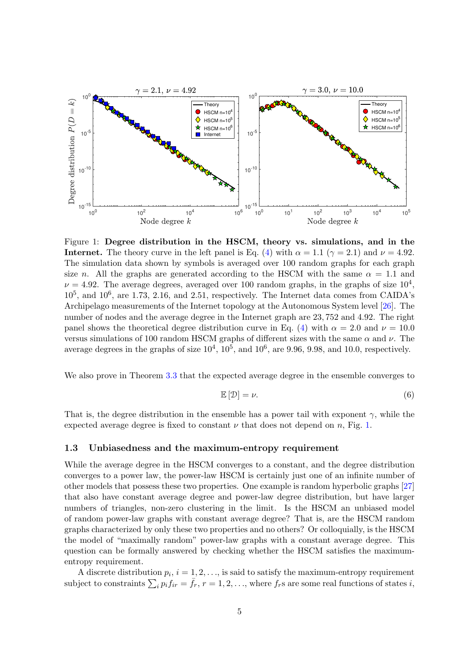

<span id="page-4-1"></span>Figure 1: Degree distribution in the HSCM, theory vs. simulations, and in the **over 100** rate random graphs for each graph size  $\overline{a}$  (A) with  $\alpha = 1$  1 ( $\alpha = 2$  1) and  $\nu = 4.9^{\circ}$ **Internet.** The theory curve in the left panel is Eq. [\(4\)](#page-3-1) with  $\alpha = 1.1$  ( $\gamma = 2.1$ ) and  $\nu = 4.92$ . , and The simulation data shown by symbols is averaged over 100 random graphs for each graph size n. All the graphs are generated according to the HSCM with the same  $\alpha = 1.1$  and  $I = 4.02$ . The even go degrees even god even  $100$  random graphs in the graphs of size  $10^{\circ}$  $\nu = 4.92$ . The average degrees, averaged over 100 random graphs, in the graphs of size  $10^4$ ,  $10^5$ , and  $10^6$ , are 1.73, 2.16, and 2.51, respectively. The Internet data comes from CAIDA's panel shows the theoretical degree distribution curve in Eq. [\(4\)](#page-3-1) with  $\alpha = 2.0$  and  $\nu = 10.0$ panel shows the differential attachment of  $\alpha$  in Eq. (1) with  $\alpha = 2.5$  and  $\nu = 10.5$  versus simulations of 100 random HSCM graphs of different sizes with the same α and  $\nu$ . The the location source node n below to the location  $\mu$ . The location  $\mu$  and  $\mu$ , and  $\mu$ , and  $\mu$ , and  $\mu$ , and  $\mu$ , and  $\mu$ , and  $\mu$ , and  $\mu$ , and  $\mu$ , and  $\mu$ , and  $\mu$ , and  $\mu$ , and  $\mu$ , and  $\mu$ , and  $\mu$ average degrees in the graphs of size  $10^4$ ,  $10^5$ , and  $10^6$ , are 9.96, 9.98, and 10.0, respectively. Archipelago measurements of the Internet topology at the Autonomous System level [\[26\]](#page-40-1). The number of nodes and the average degree in the Internet graph are 23, 752 and 4.92. The right

 $N_e$  also prove in Theorem 3.3 that the expected average degree in the ensemble converges to with order xis, xited xis, xited xis, xited xited and the care of the site of the care care, engles the this growing that the site of the site of the site of the site of the site of the site of the site of the site of the We also prove in Theorem [3.3](#page-17-3) that the expected average degree in the ensemble converges to

<span id="page-4-2"></span>
$$
\mathbb{E}\left[\mathcal{D}\right]=\nu.\tag{6}
$$

That is, the degree distribution in the ensemble has a power tail with exponent  $\gamma$ , while the  $m_{\text{max}}$  is, and a given a given fixed to constant  $u$  that does not depend on  $n_{\text{max}}$ . Fix 1 expected average degree is fixed to constant  $\nu$  that does not depend on n, Fig. [1.](#page-4-1)

### <span id="page-4-0"></span>1.3 Unbiasedness and the maximum-entropy requirement

 $R$  . The labeled in the increase in the increase order  $\epsilon$  is a coordinate graph formulation, the coordinate coordinate  $\epsilon$ While the average degree in the HSCM converges to a constant, and the degree distribution converges to a power law, the power-law HSCM is certainly just one of an infinite number of other models that possess these two properties. One example is random hyperbolic graphs [\[27\]](#page-40-2) that also have constant average degree and power-law degree distribution, but have larger numbers of triangles, non-zero clustering in the limit. Is the HSCM an unbiased model of random power-law graphs with constant average degree? That is, are the HSCM random graphs characterized by only these two properties and no others? Or colloquially, is the HSCM the model of "maximally random" power-law graphs with a constant average degree. This node coordinates, and the linking probability as  $\frac{1}{2}$  function of the same interesting  $\frac{1}{2}$  function of the same interesting  $\frac{1}{2}$  function of the same interesting  $\frac{1}{2}$  function of the same interesting question can be formally answered by checking whether the HSCM satisfies the maximummap such that the model is both projective and exchangeable if  $a = 2$ . If  $a = 2$ , then the HSCM, then the HSCM, then the HSCM, then the HSCM, then the HSCM, then the HSCM, then the HSCM, then the HSCM, then the HSCM, the H entropy requirement.

A discrete distribution  $p_i$ ,  $i = 1, 2, \ldots$ , is said to satisfy the maximum-entropy requirement subject to constraints  $\sum_i p_i f_{ir} = \bar{f}_r$ ,  $r = 1, 2, \ldots$ , where  $f_r$ s are some real functions of states i,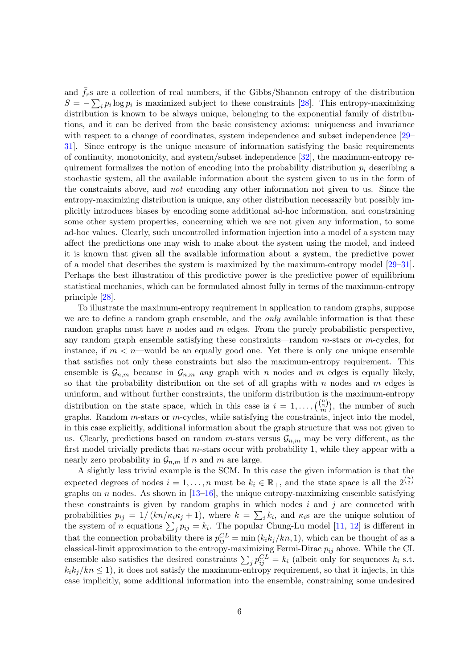and  $\bar{f}_r$ s are a collection of real numbers, if the Gibbs/Shannon entropy of the distribution  $S = -\sum_i p_i \log p_i$  is maximized subject to these constraints [\[28\]](#page-40-3). This entropy-maximizing distribution is known to be always unique, belonging to the exponential family of distributions, and it can be derived from the basic consistency axioms: uniqueness and invariance with respect to a change of coordinates, system independence and subset independence [\[29–](#page-40-4) [31\]](#page-40-5). Since entropy is the unique measure of information satisfying the basic requirements of continuity, monotonicity, and system/subset independence [\[32\]](#page-40-6), the maximum-entropy requirement formalizes the notion of encoding into the probability distribution  $p_i$  describing a stochastic system, all the available information about the system given to us in the form of the constraints above, and not encoding any other information not given to us. Since the entropy-maximizing distribution is unique, any other distribution necessarily but possibly implicitly introduces biases by encoding some additional ad-hoc information, and constraining some other system properties, concerning which we are not given any information, to some ad-hoc values. Clearly, such uncontrolled information injection into a model of a system may affect the predictions one may wish to make about the system using the model, and indeed it is known that given all the available information about a system, the predictive power of a model that describes the system is maximized by the maximum-entropy model [\[29–](#page-40-4)[31\]](#page-40-5). Perhaps the best illustration of this predictive power is the predictive power of equilibrium statistical mechanics, which can be formulated almost fully in terms of the maximum-entropy principle [\[28\]](#page-40-3).

To illustrate the maximum-entropy requirement in application to random graphs, suppose we are to define a random graph ensemble, and the *only* available information is that these random graphs must have n nodes and  $m$  edges. From the purely probabilistic perspective, any random graph ensemble satisfying these constraints—random  $m$ -stars or  $m$ -cycles, for instance, if  $m < n$ —would be an equally good one. Yet there is only one unique ensemble that satisfies not only these constraints but also the maximum-entropy requirement. This ensemble is  $\mathcal{G}_{n,m}$  because in  $\mathcal{G}_{n,m}$  any graph with n nodes and m edges is equally likely, so that the probability distribution on the set of all graphs with  $n$  nodes and  $m$  edges is uninform, and without further constraints, the uniform distribution is the maximum-entropy distribution on the state space, which in this case is  $i = 1, \ldots, {\binom{n}{2n}}$ , the number of such graphs. Random m-stars or m-cycles, while satisfying the constraints, inject into the model, in this case explicitly, additional information about the graph structure that was not given to us. Clearly, predictions based on random m-stars versus  $\mathcal{G}_{n,m}$  may be very different, as the first model trivially predicts that m-stars occur with probability 1, while they appear with a nearly zero probability in  $\mathcal{G}_{n,m}$  if n and m are large.

A slightly less trivial example is the SCM. In this case the given information is that the expected degrees of nodes  $i = 1, \ldots, n$  must be  $k_i \in \mathbb{R}_+$ , and the state space is all the  $2^{n \choose 2}$ graphs on n nodes. As shown in  $[13-16]$  $[13-16]$ , the unique entropy-maximizing ensemble satisfying these constraints is given by random graphs in which nodes  $i$  and  $j$  are connected with probabilities  $p_{ij} = 1/(kn/\kappa_i \kappa_j + 1)$ , where  $k = \sum_i k_i$ , and  $\kappa_i$ s are the unique solution of the system of *n* equations  $\sum_j p_{ij} = k_i$ . The popular Chung-Lu model [\[11,](#page-39-0) [12\]](#page-39-1) is different in that the connection probability there is  $p_{ij}^{CL} = \min(k_i k_j / k n, 1)$ , which can be thought of as a classical-limit approximation to the entropy-maximizing Fermi-Dirac  $p_{ij}$  above. While the CL ensemble also satisfies the desired constraints  $\sum_j p_{ij}^{CL} = k_i$  (albeit only for sequences  $k_i$  s.t.  $k_i k_j / kn \leq 1$ , it does not satisfy the maximum-entropy requirement, so that it injects, in this case implicitly, some additional information into the ensemble, constraining some undesired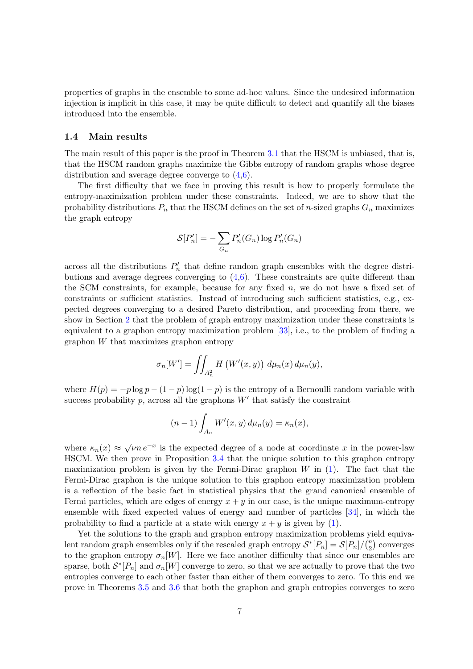properties of graphs in the ensemble to some ad-hoc values. Since the undesired information injection is implicit in this case, it may be quite difficult to detect and quantify all the biases introduced into the ensemble.

#### <span id="page-6-0"></span>1.4 Main results

The main result of this paper is the proof in Theorem [3.1](#page-16-1) that the HSCM is unbiased, that is, that the HSCM random graphs maximize the Gibbs entropy of random graphs whose degree distribution and average degree converge to [\(4](#page-3-1)[,6\)](#page-4-2).

The first difficulty that we face in proving this result is how to properly formulate the entropy-maximization problem under these constraints. Indeed, we are to show that the probability distributions  $P_n$  that the HSCM defines on the set of *n*-sized graphs  $G_n$  maximizes the graph entropy

$$
\mathcal{S}[P'_n] = -\sum_{G_n} P'_n(G_n) \log P'_n(G_n)
$$

across all the distributions  $P'_n$  that define random graph ensembles with the degree distributions and average degrees converging to  $(4,6)$  $(4,6)$ . These constraints are quite different than the SCM constraints, for example, because for any fixed  $n$ , we do not have a fixed set of constraints or sufficient statistics. Instead of introducing such sufficient statistics, e.g., expected degrees converging to a desired Pareto distribution, and proceeding from there, we show in Section [2](#page-9-1) that the problem of graph entropy maximization under these constraints is equivalent to a graphon entropy maximization problem [\[33\]](#page-40-7), i.e., to the problem of finding a graphon W that maximizes graphon entropy

$$
\sigma_n[W'] = \iint_{A_n^2} H\left(W'(x, y)\right) d\mu_n(x) d\mu_n(y),
$$

where  $H(p) = -p \log p - (1 - p) \log(1 - p)$  is the entropy of a Bernoulli random variable with success probability  $p$ , across all the graphons  $W'$  that satisfy the constraint

$$
(n-1)\int_{A_n} W'(x,y) d\mu_n(y) = \kappa_n(x),
$$

where  $\kappa_n(x) \approx \sqrt{\nu n} e^{-x}$  is the expected degree of a node at coordinate x in the power-law HSCM. We then prove in Proposition [3.4](#page-18-1) that the unique solution to this graphon entropy maximization problem is given by the Fermi-Dirac graphon  $W$  in  $(1)$ . The fact that the Fermi-Dirac graphon is the unique solution to this graphon entropy maximization problem is a reflection of the basic fact in statistical physics that the grand canonical ensemble of Fermi particles, which are edges of energy  $x + y$  in our case, is the unique maximum-entropy ensemble with fixed expected values of energy and number of particles [\[34\]](#page-40-8), in which the probability to find a particle at a state with energy  $x + y$  is given by [\(1\)](#page-2-2).

Yet the solutions to the graph and graphon entropy maximization problems yield equivalent random graph ensembles only if the rescaled graph entropy  $S^*[P_n] = S[P_n]/\binom{n}{2}$  $n \choose 2$  converges to the graphon entropy  $\sigma_n[W]$ . Here we face another difficulty that since our ensembles are sparse, both  $S^*[P_n]$  and  $\sigma_n[W]$  converge to zero, so that we are actually to prove that the two entropies converge to each other faster than either of them converges to zero. To this end we prove in Theorems [3.5](#page-18-2) and [3.6](#page-19-1) that both the graphon and graph entropies converges to zero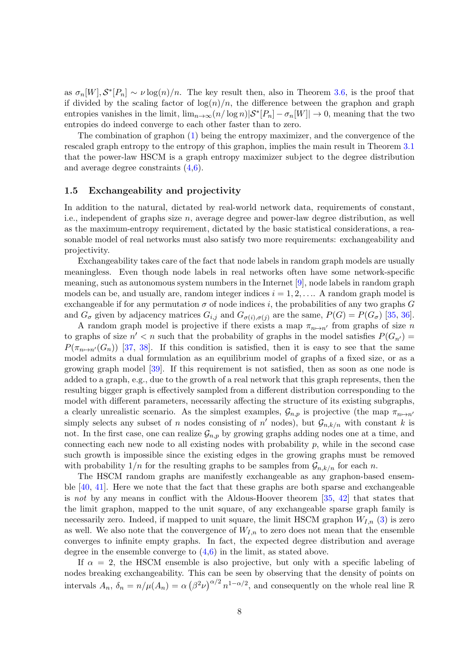as  $\sigma_n[W], \mathcal{S}^*[P_n] \sim \nu \log(n)/n$ . The key result then, also in Theorem [3.6,](#page-19-1) is the proof that if divided by the scaling factor of  $\log(n)/n$ , the difference between the graphon and graph entropies vanishes in the limit,  $\lim_{n\to\infty} (n/\log n)|\mathcal{S}^*[P_n]-\sigma_n[W]| \to 0$ , meaning that the two entropies do indeed converge to each other faster than to zero.

The combination of graphon [\(1\)](#page-2-2) being the entropy maximizer, and the convergence of the rescaled graph entropy to the entropy of this graphon, implies the main result in Theorem [3.1](#page-16-1) that the power-law HSCM is a graph entropy maximizer subject to the degree distribution and average degree constraints [\(4,](#page-3-1)[6\)](#page-4-2).

#### <span id="page-7-0"></span>1.5 Exchangeability and projectivity

In addition to the natural, dictated by real-world network data, requirements of constant, i.e., independent of graphs size n, average degree and power-law degree distribution, as well as the maximum-entropy requirement, dictated by the basic statistical considerations, a reasonable model of real networks must also satisfy two more requirements: exchangeability and projectivity.

Exchangeability takes care of the fact that node labels in random graph models are usually meaningless. Even though node labels in real networks often have some network-specific meaning, such as autonomous system numbers in the Internet [\[9\]](#page-38-6), node labels in random graph models can be, and usually are, random integer indices  $i = 1, 2, \ldots$ . A random graph model is exchangeable if for any permutation  $\sigma$  of node indices i, the probabilities of any two graphs G and  $G_{\sigma}$  given by adjacency matrices  $G_{i,j}$  and  $G_{\sigma(i),\sigma(j)}$  are the same,  $P(G) = P(G_{\sigma})$  [\[35,](#page-40-9) [36\]](#page-40-10).

A random graph model is projective if there exists a map  $\pi_{n\mapsto n'}$  from graphs of size n to graphs of size  $n' < n$  such that the probability of graphs in the model satisfies  $P(G_{n'}) =$  $P(\pi_{n\mapsto n'}(G_n))$  [\[37,](#page-40-11) [38\]](#page-40-12). If this condition is satisfied, then it is easy to see that the same model admits a dual formulation as an equilibrium model of graphs of a fixed size, or as a growing graph model [\[39\]](#page-40-13). If this requirement is not satisfied, then as soon as one node is added to a graph, e.g., due to the growth of a real network that this graph represents, then the resulting bigger graph is effectively sampled from a different distribution corresponding to the model with different parameters, necessarily affecting the structure of its existing subgraphs, a clearly unrealistic scenario. As the simplest examples,  $\mathcal{G}_{n,p}$  is projective (the map  $\pi_{n\mapsto n'}$ ) simply selects any subset of n nodes consisting of  $n'$  nodes), but  $\mathcal{G}_{n,k/n}$  with constant k is not. In the first case, one can realize  $\mathcal{G}_{n,p}$  by growing graphs adding nodes one at a time, and connecting each new node to all existing nodes with probability  $p$ , while in the second case such growth is impossible since the existing edges in the growing graphs must be removed with probability  $1/n$  for the resulting graphs to be samples from  $\mathcal{G}_{n,k/n}$  for each n.

The HSCM random graphs are manifestly exchangeable as any graphon-based ensemble [\[40,](#page-40-14) [41\]](#page-41-0). Here we note that the fact that these graphs are both sparse and exchangeable is not by any means in conflict with the Aldous-Hoover theorem [\[35,](#page-40-9) [42\]](#page-41-1) that states that the limit graphon, mapped to the unit square, of any exchangeable sparse graph family is necessarily zero. Indeed, if mapped to unit square, the limit HSCM graphon  $W_{I,n}$  [\(3\)](#page-3-2) is zero as well. We also note that the convergence of  $W_{I,n}$  to zero does not mean that the ensemble converges to infinite empty graphs. In fact, the expected degree distribution and average degree in the ensemble converge to  $(4,6)$  $(4,6)$  in the limit, as stated above.

If  $\alpha = 2$ , the HSCM ensemble is also projective, but only with a specific labeling of nodes breaking exchangeability. This can be seen by observing that the density of points on intervals  $A_n$ ,  $\delta_n = n/\mu(A_n) = \alpha (\beta^2 \nu)^{\alpha/2} n^{1-\alpha/2}$ , and consequently on the whole real line R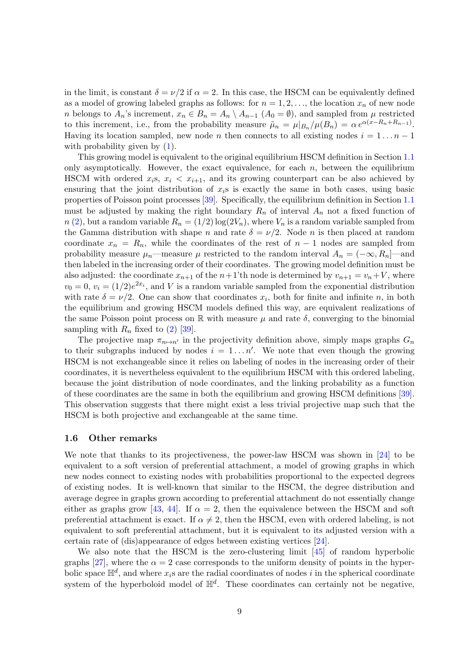in the limit, is constant  $\delta = \nu/2$  if  $\alpha = 2$ . In this case, the HSCM can be equivalently defined as a model of growing labeled graphs as follows: for  $n = 1, 2, \ldots$ , the location  $x_n$  of new node n belongs to  $A_n$ 's increment,  $x_n \in B_n = A_n \setminus A_{n-1}$   $(A_0 = \emptyset)$ , and sampled from  $\mu$  restricted to this increment, i.e., from the probability measure  $\tilde{\mu}_n = \mu|_{B_n}/\mu(B_n) = \alpha e^{\alpha(x - R_n + R_{n-1})}$ . Having its location sampled, new node *n* then connects to all existing nodes  $i = 1 \dots n - 1$ with probability given by  $(1)$ .

This growing model is equivalent to the original equilibrium HSCM definition in Section [1.1](#page-2-1) only asymptotically. However, the exact equivalence, for each  $n$ , between the equilibrium HSCM with ordered  $x_i$ s,  $x_i < x_{i+1}$ , and its growing counterpart can be also achieved by ensuring that the joint distribution of  $x_i$ s is exactly the same in both cases, using basic properties of Poisson point processes [\[39\]](#page-40-13). Specifically, the equilibrium definition in Section [1.1](#page-2-1) must be adjusted by making the right boundary  $R_n$  of interval  $A_n$  not a fixed function of  $n(2)$  $n(2)$ , but a random variable  $R_n = (1/2) \log(2V_n)$ , where  $V_n$  is a random variable sampled from the Gamma distribution with shape n and rate  $\delta = \nu/2$ . Node n is then placed at random coordinate  $x_n = R_n$ , while the coordinates of the rest of  $n-1$  nodes are sampled from probability measure  $\mu_n$ —measure  $\mu$  restricted to the random interval  $A_n = (-\infty, R_n]$ —and then labeled in the increasing order of their coordinates. The growing model definition must be also adjusted: the coordinate  $x_{n+1}$  of the  $n+1$ 'th node is determined by  $v_{n+1} = v_n + V$ , where  $v_0 = 0$ ,  $v_i = (1/2)e^{2x_i}$ , and V is a random variable sampled from the exponential distribution with rate  $\delta = \nu/2$ . One can show that coordinates  $x_i$ , both for finite and infinite n, in both the equilibrium and growing HSCM models defined this way, are equivalent realizations of the same Poisson point process on R with measure  $\mu$  and rate  $\delta$ , converging to the binomial sampling with  $R_n$  fixed to [\(2\)](#page-3-3) [\[39\]](#page-40-13).

The projective map  $\pi_{n\mapsto n'}$  in the projectivity definition above, simply maps graphs  $G_n$ to their subgraphs induced by nodes  $i = 1...n'$ . We note that even though the growing HSCM is not exchangeable since it relies on labeling of nodes in the increasing order of their coordinates, it is nevertheless equivalent to the equilibrium HSCM with this ordered labeling, because the joint distribution of node coordinates, and the linking probability as a function of these coordinates are the same in both the equilibrium and growing HSCM definitions [\[39\]](#page-40-13). This observation suggests that there might exist a less trivial projective map such that the HSCM is both projective and exchangeable at the same time.

#### <span id="page-8-0"></span>1.6 Other remarks

We note that thanks to its projectiveness, the power-law HSCM was shown in [\[24\]](#page-39-9) to be equivalent to a soft version of preferential attachment, a model of growing graphs in which new nodes connect to existing nodes with probabilities proportional to the expected degrees of existing nodes. It is well-known that similar to the HSCM, the degree distribution and average degree in graphs grown according to preferential attachment do not essentially change either as graphs grow [\[43,](#page-41-2) [44\]](#page-41-3). If  $\alpha = 2$ , then the equivalence between the HSCM and soft preferential attachment is exact. If  $\alpha \neq 2$ , then the HSCM, even with ordered labeling, is not equivalent to soft preferential attachment, but it is equivalent to its adjusted version with a certain rate of (dis)appearance of edges between existing vertices [\[24\]](#page-39-9).

We also note that the HSCM is the zero-clustering limit [\[45\]](#page-41-4) of random hyperbolic graphs [\[27\]](#page-40-2), where the  $\alpha = 2$  case corresponds to the uniform density of points in the hyperbolic space  $\mathbb{H}^d$ , and where  $x_i$ s are the radial coordinates of nodes i in the spherical coordinate system of the hyperboloid model of  $\mathbb{H}^d$ . These coordinates can certainly not be negative,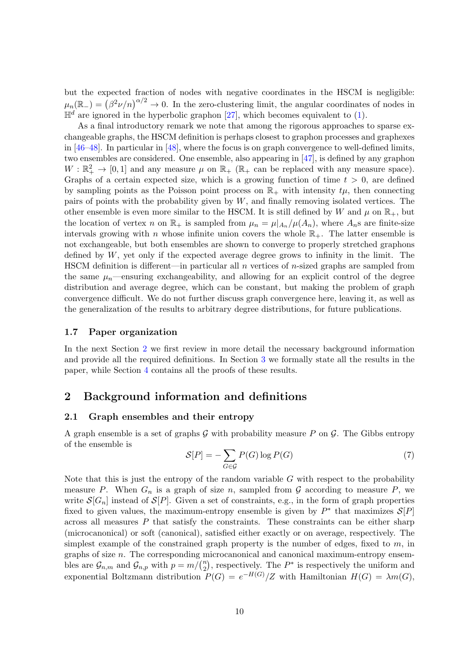but the expected fraction of nodes with negative coordinates in the HSCM is negligible:  $\mu_n(\mathbb{R}_-) = (\beta^2 \nu/n)^{\alpha/2} \to 0$ . In the zero-clustering limit, the angular coordinates of nodes in  $\mathbb{H}^d$  are ignored in the hyperbolic graphon [\[27\]](#page-40-2), which becomes equivalent to [\(1\)](#page-2-2).

As a final introductory remark we note that among the rigorous approaches to sparse exchangeable graphs, the HSCM definition is perhaps closest to graphon processes and graphexes in [\[46](#page-41-5)[–48\]](#page-41-6). In particular in [\[48\]](#page-41-6), where the focus is on graph convergence to well-defined limits, two ensembles are considered. One ensemble, also appearing in [\[47\]](#page-41-7), is defined by any graphon  $W:\mathbb{R}_+^2\to[0,1]$  and any measure  $\mu$  on  $\mathbb{R}_+$  ( $\mathbb{R}_+$  can be replaced with any measure space). Graphs of a certain expected size, which is a growing function of time  $t > 0$ , are defined by sampling points as the Poisson point process on  $\mathbb{R}_+$  with intensity  $t\mu$ , then connecting pairs of points with the probability given by  $W$ , and finally removing isolated vertices. The other ensemble is even more similar to the HSCM. It is still defined by W and  $\mu$  on  $\mathbb{R}_+$ , but the location of vertex n on  $\mathbb{R}_+$  is sampled from  $\mu_n = \mu|_{A_n}/\mu(A_n)$ , where  $A_n$ s are finite-size intervals growing with n whose infinite union covers the whole  $\mathbb{R}_+$ . The latter ensemble is not exchangeable, but both ensembles are shown to converge to properly stretched graphons defined by  $W$ , yet only if the expected average degree grows to infinity in the limit. The HSCM definition is different—in particular all n vertices of n-sized graphs are sampled from the same  $\mu_n$ —ensuring exchangeability, and allowing for an explicit control of the degree distribution and average degree, which can be constant, but making the problem of graph convergence difficult. We do not further discuss graph convergence here, leaving it, as well as the generalization of the results to arbitrary degree distributions, for future publications.

#### <span id="page-9-0"></span>1.7 Paper organization

In the next Section [2](#page-9-1) we first review in more detail the necessary background information and provide all the required definitions. In Section [3](#page-15-1) we formally state all the results in the paper, while Section [4](#page-20-0) contains all the proofs of these results.

### <span id="page-9-1"></span>2 Background information and definitions

#### <span id="page-9-2"></span>2.1 Graph ensembles and their entropy

A graph ensemble is a set of graphs  $G$  with probability measure P on  $G$ . The Gibbs entropy of the ensemble is

$$
S[P] = -\sum_{G \in \mathcal{G}} P(G) \log P(G) \tag{7}
$$

Note that this is just the entropy of the random variable  $G$  with respect to the probability measure P. When  $G_n$  is a graph of size n, sampled from  $G$  according to measure P, we write  $\mathcal{S}[G_n]$  instead of  $\mathcal{S}[P]$ . Given a set of constraints, e.g., in the form of graph properties fixed to given values, the maximum-entropy ensemble is given by  $P^*$  that maximizes  $\mathcal{S}[P]$ across all measures  $P$  that satisfy the constraints. These constraints can be either sharp (microcanonical) or soft (canonical), satisfied either exactly or on average, respectively. The simplest example of the constrained graph property is the number of edges, fixed to  $m$ , in graphs of size n. The corresponding microcanonical and canonical maximum-entropy ensembles are  $\mathcal{G}_{n,m}$  and  $\mathcal{G}_{n,p}$  with  $p = m/(n \choose 2)$  $\binom{n}{2}$ , respectively. The  $P^*$  is respectively the uniform and exponential Boltzmann distribution  $P(G) = e^{-H(G)}/Z$  with Hamiltonian  $H(G) = \lambda m(G)$ ,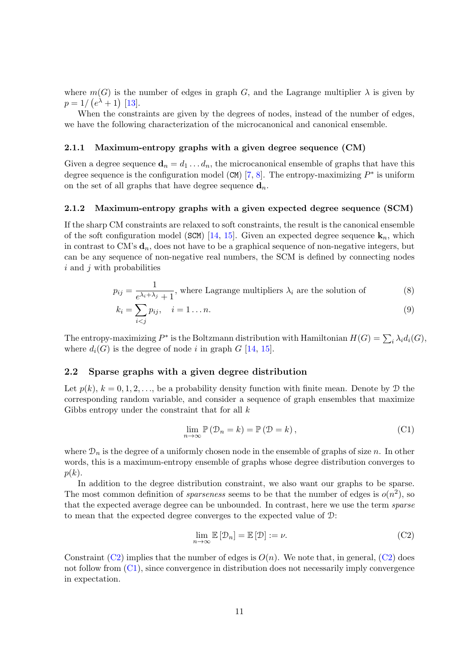where  $m(G)$  is the number of edges in graph G, and the Lagrange multiplier  $\lambda$  is given by  $p = 1/(e^{\lambda} + 1)$  [\[13\]](#page-39-2).

When the constraints are given by the degrees of nodes, instead of the number of edges, we have the following characterization of the microcanonical and canonical ensemble.

#### <span id="page-10-0"></span>2.1.1 Maximum-entropy graphs with a given degree sequence (CM)

Given a degree sequence  $\mathbf{d}_n = d_1 \dots d_n$ , the microcanonical ensemble of graphs that have this degree sequence is the configuration model (CM) [\[7,](#page-38-4) [8\]](#page-38-5). The entropy-maximizing  $P^*$  is uniform on the set of all graphs that have degree sequence  $\mathbf{d}_n$ .

#### <span id="page-10-1"></span>2.1.2 Maximum-entropy graphs with a given expected degree sequence (SCM)

If the sharp CM constraints are relaxed to soft constraints, the result is the canonical ensemble of the soft configuration model (SCM) [\[14,](#page-39-11) [15\]](#page-39-10). Given an expected degree sequence  $\mathbf{k}_n$ , which in contrast to CM's  $\mathbf{d}_n$ , does not have to be a graphical sequence of non-negative integers, but can be any sequence of non-negative real numbers, the SCM is defined by connecting nodes  $i$  and  $j$  with probabilities

$$
p_{ij} = \frac{1}{e^{\lambda_i + \lambda_j} + 1}
$$
, where Lagrange multipliers  $\lambda_i$  are the solution of (8)

$$
k_i = \sum_{i < j} p_{ij}, \quad i = 1 \dots n. \tag{9}
$$

The entropy-maximizing  $P^*$  is the Boltzmann distribution with Hamiltonian  $H(G) = \sum_i \lambda_i d_i(G)$ , where  $d_i(G)$  is the degree of node i in graph G [\[14,](#page-39-11) [15\]](#page-39-10).

#### <span id="page-10-2"></span>2.2 Sparse graphs with a given degree distribution

Let  $p(k)$ ,  $k = 0, 1, 2, \ldots$ , be a probability density function with finite mean. Denote by  $\mathcal{D}$  the corresponding random variable, and consider a sequence of graph ensembles that maximize Gibbs entropy under the constraint that for all  $k$ 

<span id="page-10-6"></span><span id="page-10-5"></span><span id="page-10-4"></span>
$$
\lim_{n \to \infty} \mathbb{P} \left( \mathcal{D}_n = k \right) = \mathbb{P} \left( \mathcal{D} = k \right),\tag{C1}
$$

where  $\mathcal{D}_n$  is the degree of a uniformly chosen node in the ensemble of graphs of size n. In other words, this is a maximum-entropy ensemble of graphs whose degree distribution converges to  $p(k)$ .

In addition to the degree distribution constraint, we also want our graphs to be sparse. The most common definition of *sparseness* seems to be that the number of edges is  $o(n^2)$ , so that the expected average degree can be unbounded. In contrast, here we use the term sparse to mean that the expected degree converges to the expected value of D:

<span id="page-10-3"></span>
$$
\lim_{n \to \infty} \mathbb{E} \left[ \mathcal{D}_n \right] = \mathbb{E} \left[ \mathcal{D} \right] := \nu. \tag{C2}
$$

Constraint [\(C2\)](#page-10-3) implies that the number of edges is  $O(n)$ . We note that, in general, (C2) does not follow from  $(C_1)$ , since convergence in distribution does not necessarily imply convergence in expectation.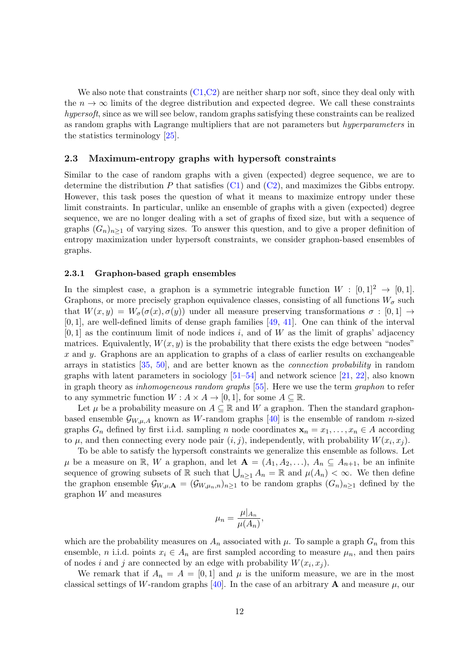We also note that constraints  $(C1,C2)$  $(C1,C2)$  are neither sharp nor soft, since they deal only with the  $n \to \infty$  limits of the degree distribution and expected degree. We call these constraints hypersoft, since as we will see below, random graphs satisfying these constraints can be realized as random graphs with Lagrange multipliers that are not parameters but hyperparameters in the statistics terminology [\[25\]](#page-40-0).

#### <span id="page-11-0"></span>2.3 Maximum-entropy graphs with hypersoft constraints

Similar to the case of random graphs with a given (expected) degree sequence, we are to determine the distribution  $P$  that satisfies  $(C1)$  and  $(C2)$ , and maximizes the Gibbs entropy. However, this task poses the question of what it means to maximize entropy under these limit constraints. In particular, unlike an ensemble of graphs with a given (expected) degree sequence, we are no longer dealing with a set of graphs of fixed size, but with a sequence of graphs  $(G_n)_{n\geq 1}$  of varying sizes. To answer this question, and to give a proper definition of entropy maximization under hypersoft constraints, we consider graphon-based ensembles of graphs.

#### <span id="page-11-1"></span>2.3.1 Graphon-based graph ensembles

In the simplest case, a graphon is a symmetric integrable function  $W : [0,1]^2 \rightarrow [0,1]$ . Graphons, or more precisely graphon equivalence classes, consisting of all functions  $W_{\sigma}$  such that  $W(x, y) = W_{\sigma}(\sigma(x), \sigma(y))$  under all measure preserving transformations  $\sigma : [0, 1] \rightarrow$  $[0, 1]$ , are well-defined limits of dense graph families  $[49, 41]$  $[49, 41]$ . One can think of the interval  $[0, 1]$  as the continuum limit of node indices i, and of W as the limit of graphs' adjacency matrices. Equivalently,  $W(x, y)$  is the probability that there exists the edge between "nodes" x and y. Graphons are an application to graphs of a class of earlier results on exchangeable arrays in statistics [\[35,](#page-40-9) [50\]](#page-41-9), and are better known as the connection probability in random graphs with latent parameters in sociology  $[51–54]$  $[51–54]$  and network science  $[21, 22]$  $[21, 22]$ , also known in graph theory as inhomogeneous random graphs [\[55\]](#page-41-12). Here we use the term graphon to refer to any symmetric function  $W : A \times A \rightarrow [0,1]$ , for some  $A \subseteq \mathbb{R}$ .

Let  $\mu$  be a probability measure on  $A \subseteq \mathbb{R}$  and W a graphon. Then the standard graphonbased ensemble  $\mathcal{G}_{W,\mu,A}$  known as W-random graphs [\[40\]](#page-40-14) is the ensemble of random n-sized graphs  $G_n$  defined by first i.i.d. sampling n node coordinates  $\mathbf{x}_n = x_1, \ldots, x_n \in A$  according to  $\mu$ , and then connecting every node pair  $(i, j)$ , independently, with probability  $W(x_i, x_j)$ .

To be able to satisfy the hypersoft constraints we generalize this ensemble as follows. Let  $\mu$  be a measure on R, W a graphon, and let  $\mathbf{A} = (A_1, A_2, \ldots), A_n \subseteq A_{n+1}$ , be an infinite sequence of growing subsets of  $\mathbb R$  such that  $\bigcup_{n\geq 1} A_n = \mathbb R$  and  $\mu(A_n) < \infty$ . We then define the graphon ensemble  $\mathcal{G}_{W,\mu,\mathbf{A}} = (\mathcal{G}_{W,\mu_n,n})_{n\geq 1}$  to be random graphs  $(G_n)_{n\geq 1}$  defined by the graphon W and measures

$$
\mu_n = \frac{\mu|_{A_n}}{\mu(A_n)},
$$

which are the probability measures on  $A_n$  associated with  $\mu$ . To sample a graph  $G_n$  from this ensemble, n i.i.d. points  $x_i \in A_n$  are first sampled according to measure  $\mu_n$ , and then pairs of nodes i and j are connected by an edge with probability  $W(x_i, x_j)$ .

We remark that if  $A_n = A = [0, 1]$  and  $\mu$  is the uniform measure, we are in the most classical settings of W-random graphs [\[40\]](#page-40-14). In the case of an arbitrary **A** and measure  $\mu$ , our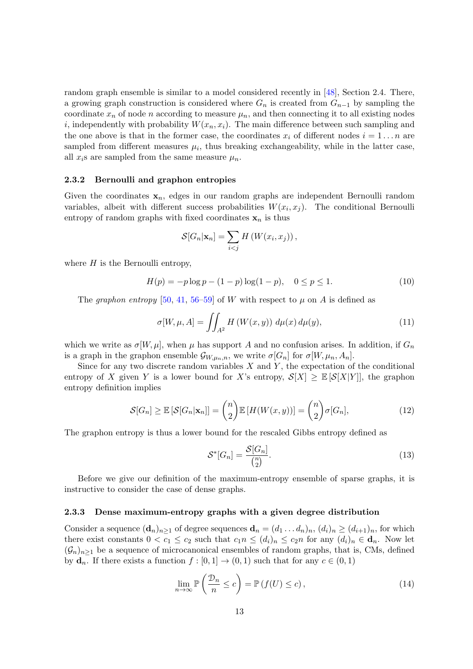random graph ensemble is similar to a model considered recently in [\[48\]](#page-41-6), Section 2.4. There, a growing graph construction is considered where  $G_n$  is created from  $G_{n-1}$  by sampling the coordinate  $x_n$  of node n according to measure  $\mu_n$ , and then connecting it to all existing nodes i, independently with probability  $W(x_n, x_i)$ . The main difference between such sampling and the one above is that in the former case, the coordinates  $x_i$  of different nodes  $i = 1 \dots n$  are sampled from different measures  $\mu_i$ , thus breaking exchangeability, while in the latter case, all  $x_i$ s are sampled from the same measure  $\mu_n$ .

#### <span id="page-12-0"></span>2.3.2 Bernoulli and graphon entropies

Given the coordinates  $x_n$ , edges in our random graphs are independent Bernoulli random variables, albeit with different success probabilities  $W(x_i, x_j)$ . The conditional Bernoulli entropy of random graphs with fixed coordinates  $x_n$  is thus

$$
\mathcal{S}[G_n|\mathbf{x}_n] = \sum_{i < j} H\left(W(x_i, x_j)\right),
$$

where  $H$  is the Bernoulli entropy,

$$
H(p) = -p \log p - (1 - p) \log(1 - p), \quad 0 \le p \le 1.
$$
 (10)

The graphon entropy [\[50,](#page-41-9) [41,](#page-41-0) [56–](#page-42-0)[59\]](#page-42-1) of W with respect to  $\mu$  on A is defined as

<span id="page-12-4"></span>
$$
\sigma[W, \mu, A] = \iint_{A^2} H\left(W(x, y)\right) \, d\mu(x) \, d\mu(y),\tag{11}
$$

which we write as  $\sigma[W,\mu]$ , when  $\mu$  has support A and no confusion arises. In addition, if  $G_n$ is a graph in the graphon ensemble  $\mathcal{G}_{W,\mu_n,n}$ , we write  $\sigma[G_n]$  for  $\sigma[W,\mu_n,A_n]$ .

Since for any two discrete random variables  $X$  and  $Y$ , the expectation of the conditional entropy of X given Y is a lower bound for X's entropy,  $S[X] > \mathbb{E}[S[X|Y]]$ , the graphon entropy definition implies

<span id="page-12-3"></span>
$$
\mathcal{S}[G_n] \ge \mathbb{E}\left[\mathcal{S}[G_n|\mathbf{x}_n]\right] = \binom{n}{2} \mathbb{E}\left[H(W(x,y))\right] = \binom{n}{2} \sigma[G_n],\tag{12}
$$

The graphon entropy is thus a lower bound for the rescaled Gibbs entropy defined as

<span id="page-12-5"></span>
$$
\mathcal{S}^*[G_n] = \frac{\mathcal{S}[G_n]}{\binom{n}{2}}.\tag{13}
$$

Before we give our definition of the maximum-entropy ensemble of sparse graphs, it is instructive to consider the case of dense graphs.

#### <span id="page-12-1"></span>2.3.3 Dense maximum-entropy graphs with a given degree distribution

Consider a sequence  $(\mathbf{d}_n)_{n\geq 1}$  of degree sequences  $\mathbf{d}_n = (d_1 \dots d_n)_n$ ,  $(d_i)_n \geq (d_{i+1})_n$ , for which there exist constants  $0 < c_1 \leq c_2$  such that  $c_1 n \leq (d_i)_n \leq c_2 n$  for any  $(d_i)_n \in \mathbf{d}_n$ . Now let  $(\mathcal{G}_n)_{n>1}$  be a sequence of microcanonical ensembles of random graphs, that is, CMs, defined by  $\mathbf{d}_n$ . If there exists a function  $f : [0, 1] \to (0, 1)$  such that for any  $c \in (0, 1)$ 

<span id="page-12-2"></span>
$$
\lim_{n \to \infty} \mathbb{P}\left(\frac{\mathcal{D}_n}{n} \le c\right) = \mathbb{P}\left(f(U) \le c\right),\tag{14}
$$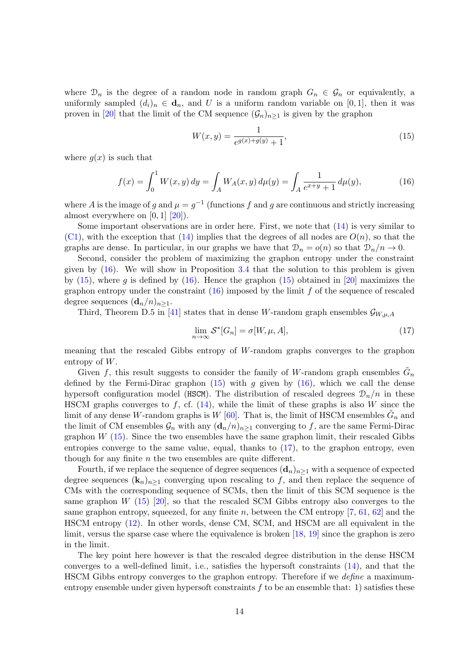where  $\mathcal{D}_n$  is the degree of a random node in random graph  $G_n \in \mathcal{G}_n$  or equivalently, a uniformly sampled  $(d_i)_n \in \mathbf{d}_n$ , and U is a uniform random variable on [0, 1], then it was proven in [\[20\]](#page-39-7) that the limit of the CM sequence  $(\mathcal{G}_n)_{n\geq 1}$  is given by the graphon

<span id="page-13-1"></span>
$$
W(x,y) = \frac{1}{e^{g(x) + g(y)} + 1},\tag{15}
$$

where  $q(x)$  is such that

<span id="page-13-0"></span>
$$
f(x) = \int_0^1 W(x, y) \, dy = \int_A W_A(x, y) \, d\mu(y) = \int_A \frac{1}{e^{x+y} + 1} \, d\mu(y),\tag{16}
$$

where A is the image of g and  $\mu = g^{-1}$  (functions f and g are continuous and strictly increasing almost everywhere on [0, 1] [\[20\]](#page-39-7)).

Some important observations are in order here. First, we note that  $(14)$  is very similar to  $(C1)$ , with the exception that  $(14)$  implies that the degrees of all nodes are  $O(n)$ , so that the graphs are dense. In particular, in our graphs we have that  $\mathcal{D}_n = o(n)$  so that  $\mathcal{D}_n/n \to 0$ .

Second, consider the problem of maximizing the graphon entropy under the constraint given by  $(16)$ . We will show in Proposition [3.4](#page-18-1) that the solution to this problem is given by  $(15)$ , where g is defined by  $(16)$ . Hence the graphon  $(15)$  obtained in [\[20\]](#page-39-7) maximizes the graphon entropy under the constraint  $(16)$  imposed by the limit f of the sequence of rescaled degree sequences  $(\mathbf{d}_n/n)_{n\geq 1}$ .

Third, Theorem D.5 in [\[41\]](#page-41-0) states that in dense W-random graph ensembles  $\mathcal{G}_{W,\mu,A}$ 

<span id="page-13-2"></span>
$$
\lim_{n \to \infty} \mathcal{S}^*[G_n] = \sigma[W, \mu, A],\tag{17}
$$

meaning that the rescaled Gibbs entropy of W-random graphs converges to the graphon entropy of W.

Given f, this result suggests to consider the family of W-random graph ensembles  $\tilde{G}_n$ defined by the Fermi-Dirac graphon  $(15)$  with g given by  $(16)$ , which we call the dense hypersoft configuration model (HSCM). The distribution of rescaled degrees  $\mathcal{D}_n/n$  in these HSCM graphs converges to f, cf.  $(14)$ , while the limit of these graphs is also W since the limit of any dense W-random graphs is W [\[60\]](#page-42-2). That is, the limit of HSCM ensembles  $\tilde{G}_n$  and the limit of CM ensembles  $\mathcal{G}_n$  with any  $(\mathbf{d}_n/n)_{n>1}$  converging to f, are the same Fermi-Dirac graphon  $W(15)$  $W(15)$ . Since the two ensembles have the same graphon limit, their rescaled Gibbs entropies converge to the same value, equal, thanks to  $(17)$ , to the graphon entropy, even though for any finite  $n$  the two ensembles are quite different.

Fourth, if we replace the sequence of degree sequences  $(d_n)_{n\geq 1}$  with a sequence of expected degree sequences  $(\mathbf{k}_n)_{n\geq 1}$  converging upon rescaling to f, and then replace the sequence of CMs with the corresponding sequence of SCMs, then the limit of this SCM sequence is the same graphon  $W(15)$  $W(15)$  [\[20\]](#page-39-7), so that the rescaled SCM Gibbs entropy also converges to the same graphon entropy, squeezed, for any finite n, between the CM entropy  $[7, 61, 62]$  $[7, 61, 62]$  $[7, 61, 62]$  $[7, 61, 62]$  and the HSCM entropy [\(12\)](#page-12-3). In other words, dense CM, SCM, and HSCM are all equivalent in the limit, versus the sparse case where the equivalence is broken [\[18,](#page-39-5) [19\]](#page-39-6) since the graphon is zero in the limit.

The key point here however is that the rescaled degree distribution in the dense HSCM converges to a well-defined limit, i.e., satisfies the hypersoft constraints  $(14)$ , and that the HSCM Gibbs entropy converges to the graphon entropy. Therefore if we define a maximumentropy ensemble under given hypersoft constraints  $f$  to be an ensemble that: 1) satisfies these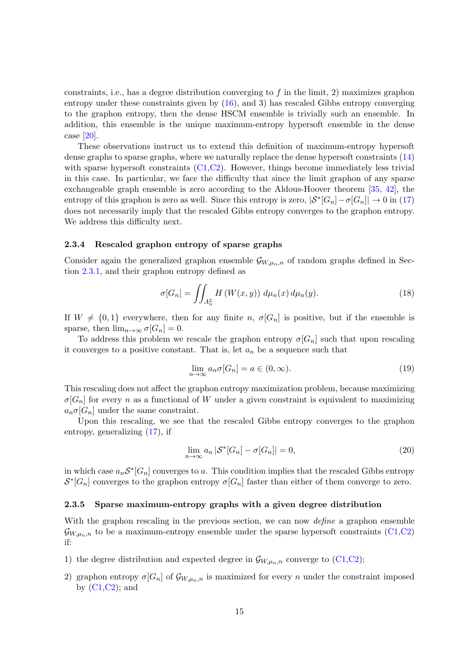constraints, i.e., has a degree distribution converging to f in the limit, 2) maximizes graphon entropy under these constraints given by [\(16\)](#page-13-0), and 3) has rescaled Gibbs entropy converging to the graphon entropy, then the dense HSCM ensemble is trivially such an ensemble. In addition, this ensemble is the unique maximum-entropy hypersoft ensemble in the dense case [\[20\]](#page-39-7).

These observations instruct us to extend this definition of maximum-entropy hypersoft dense graphs to sparse graphs, where we naturally replace the dense hypersoft constraints [\(14\)](#page-12-2) with sparse hypersoft constraints  $(C1, C2)$  $(C1, C2)$ . However, things become immediately less trivial in this case. In particular, we face the difficulty that since the limit graphon of any sparse exchangeable graph ensemble is zero according to the Aldous-Hoover theorem [\[35,](#page-40-9) [42\]](#page-41-1), the entropy of this graphon is zero as well. Since this entropy is zero,  $|S^*[G_n] - \sigma[G_n]| \to 0$  in [\(17\)](#page-13-2) does not necessarily imply that the rescaled Gibbs entropy converges to the graphon entropy. We address this difficulty next.

#### <span id="page-14-0"></span>2.3.4 Rescaled graphon entropy of sparse graphs

Consider again the generalized graphon ensemble  $\mathcal{G}_{W,\mu_n,n}$  of random graphs defined in Section [2.3.1,](#page-11-1) and their graphon entropy defined as

<span id="page-14-4"></span>
$$
\sigma[G_n] = \iint_{A_n^2} H\left(W(x, y)\right) d\mu_n(x) d\mu_n(y). \tag{18}
$$

If  $W \neq \{0, 1\}$  everywhere, then for any finite n,  $\sigma[G_n]$  is positive, but if the ensemble is sparse, then  $\lim_{n\to\infty} \sigma[G_n] = 0$ .

To address this problem we rescale the graphon entropy  $\sigma[G_n]$  such that upon rescaling it converges to a positive constant. That is, let  $a_n$  be a sequence such that

<span id="page-14-3"></span>
$$
\lim_{n \to \infty} a_n \sigma[G_n] = a \in (0, \infty).
$$
\n(19)

This rescaling does not affect the graphon entropy maximization problem, because maximizing  $\sigma[G_n]$  for every n as a functional of W under a given constraint is equivalent to maximizing  $a_n \sigma[G_n]$  under the same constraint.

Upon this rescaling, we see that the rescaled Gibbs entropy converges to the graphon entropy, generalizing [\(17\)](#page-13-2), if

<span id="page-14-2"></span>
$$
\lim_{n \to \infty} a_n |\mathcal{S}^* [G_n] - \sigma[G_n]| = 0,
$$
\n(20)

in which case  $a_n S^*[G_n]$  converges to a. This condition implies that the rescaled Gibbs entropy  $\mathcal{S}^*[G_n]$  converges to the graphon entropy  $\sigma[G_n]$  faster than either of them converge to zero.

#### <span id="page-14-1"></span>2.3.5 Sparse maximum-entropy graphs with a given degree distribution

With the graphon rescaling in the previous section, we can now *define* a graphon ensemble  $\mathcal{G}_{W,\mu_n,n}$  to be a maximum-entropy ensemble under the sparse hypersoft constraints [\(C1](#page-10-4)[,C2\)](#page-10-3) if:

- 1) the degree distribution and expected degree in  $\mathcal{G}_{W,\mu_n,n}$  converge to [\(C1,](#page-10-4)[C2\)](#page-10-3);
- 2) graphon entropy  $\sigma[G_n]$  of  $\mathcal{G}_{W,\mu_n,n}$  is maximized for every n under the constraint imposed by  $(C1, C2)$  $(C1, C2)$ ; and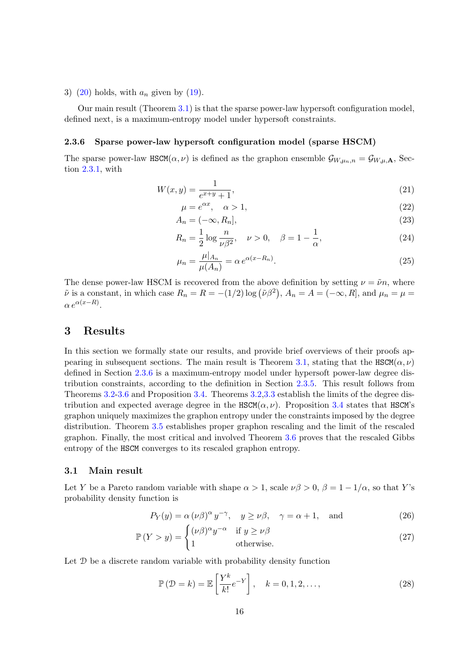3) [\(20\)](#page-14-2) holds, with  $a_n$  given by [\(19\)](#page-14-3).

Our main result (Theorem [3.1\)](#page-16-1) is that the sparse power-law hypersoft configuration model, defined next, is a maximum-entropy model under hypersoft constraints.

#### <span id="page-15-0"></span>2.3.6 Sparse power-law hypersoft configuration model (sparse HSCM)

The sparse power-law HSCM( $\alpha, \nu$ ) is defined as the graphon ensemble  $\mathcal{G}_{W,\mu_n,n} = \mathcal{G}_{W,\mu,\mathbf{A}}$ , Section [2.3.1,](#page-11-1) with

$$
W(x,y) = \frac{1}{e^{x+y} + 1},
$$
\n(21)

<span id="page-15-6"></span>
$$
\mu = e^{\alpha x}, \quad \alpha > 1,\tag{22}
$$

$$
A_n = (-\infty, R_n],\tag{23}
$$

<span id="page-15-5"></span>
$$
R_n = \frac{1}{2} \log \frac{n}{\nu \beta^2}, \quad \nu > 0, \quad \beta = 1 - \frac{1}{\alpha}, \tag{24}
$$

<span id="page-15-4"></span>
$$
\mu_n = \frac{\mu|_{A_n}}{\mu(A_n)} = \alpha e^{\alpha(x - R_n)}.
$$
\n(25)

The dense power-law HSCM is recovered from the above definition by setting  $\nu = \tilde{\nu}n$ , where  $\tilde{\nu}$  is a constant, in which case  $R_n = R = -(1/2) \log (\tilde{\nu} \beta^2)$ ,  $A_n = A = (-\infty, R]$ , and  $\mu_n = \mu =$  $\alpha e^{\alpha(x-R)}$ .

### <span id="page-15-1"></span>3 Results

In this section we formally state our results, and provide brief overviews of their proofs ap-pearing in subsequent sections. The main result is Theorem [3.1,](#page-16-1) stating that the HSCM( $\alpha, \nu$ ) defined in Section [2.3.6](#page-15-0) is a maximum-entropy model under hypersoft power-law degree distribution constraints, according to the definition in Section [2.3.5.](#page-14-1) This result follows from Theorems [3.2-](#page-17-2)[3.6](#page-19-1) and Proposition [3.4.](#page-18-1) Theorems [3.2](#page-17-2)[,3.3](#page-17-3) establish the limits of the degree distribution and expected average degree in the  $HSCM(\alpha, \nu)$ . Proposition [3.4](#page-18-1) states that HSCM's graphon uniquely maximizes the graphon entropy under the constraints imposed by the degree distribution. Theorem [3.5](#page-18-2) establishes proper graphon rescaling and the limit of the rescaled graphon. Finally, the most critical and involved Theorem [3.6](#page-19-1) proves that the rescaled Gibbs entropy of the HSCM converges to its rescaled graphon entropy.

#### <span id="page-15-2"></span>3.1 Main result

Let Y be a Pareto random variable with shape  $\alpha > 1$ , scale  $\nu\beta > 0$ ,  $\beta = 1 - 1/\alpha$ , so that Y's probability density function is

$$
P_Y(y) = \alpha (\nu \beta)^{\alpha} y^{-\gamma}, \quad y \ge \nu \beta, \quad \gamma = \alpha + 1, \quad \text{and}
$$
 (26)

$$
\mathbb{P}(Y > y) = \begin{cases} (\nu \beta)^{\alpha} y^{-\alpha} & \text{if } y \ge \nu \beta \\ 1 & \text{otherwise.} \end{cases}
$$
 (27)

Let  $\mathcal D$  be a discrete random variable with probability density function

<span id="page-15-8"></span><span id="page-15-7"></span><span id="page-15-3"></span>
$$
\mathbb{P}\left(\mathcal{D}=k\right) = \mathbb{E}\left[\frac{Y^k}{k!}e^{-Y}\right], \quad k = 0, 1, 2, \dots,
$$
\n(28)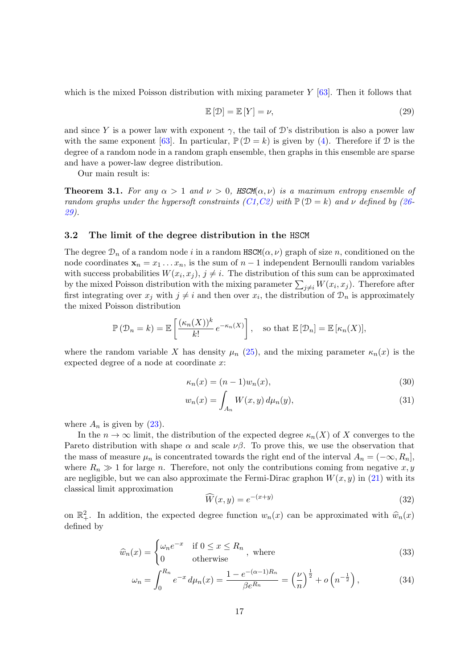which is the mixed Poisson distribution with mixing parameter  $Y$  [\[63\]](#page-42-5). Then it follows that

<span id="page-16-2"></span>
$$
\mathbb{E}\left[\mathcal{D}\right] = \mathbb{E}\left[Y\right] = \nu,\tag{29}
$$

and since Y is a power law with exponent  $\gamma$ , the tail of D's distribution is also a power law with the same exponent [\[63\]](#page-42-5). In particular,  $\mathbb{P}(\mathcal{D} = k)$  is given by [\(4\)](#page-3-1). Therefore if  $\mathcal D$  is the degree of a random node in a random graph ensemble, then graphs in this ensemble are sparse and have a power-law degree distribution.

Our main result is:

<span id="page-16-1"></span>**Theorem 3.1.** For any  $\alpha > 1$  and  $\nu > 0$ , HSCM( $\alpha, \nu$ ) is a maximum entropy ensemble of random graphs under the hypersoft constraints  $(C1, C2)$  $(C1, C2)$  $(C1, C2)$  with  $\mathbb{P}(\mathcal{D} = k)$  and  $\nu$  defined by [\(26-](#page-15-3) [29\)](#page-16-2).

#### <span id="page-16-0"></span>3.2 The limit of the degree distribution in the HSCM

The degree  $\mathcal{D}_n$  of a random node i in a random HSCM( $\alpha, \nu$ ) graph of size n, conditioned on the node coordinates  $\mathbf{x}_n = x_1 \dots x_n$ , is the sum of  $n-1$  independent Bernoulli random variables with success probabilities  $W(x_i, x_j)$ ,  $j \neq i$ . The distribution of this sum can be approximated by the mixed Poisson distribution with the mixing parameter  $\sum_{j\neq i} W(x_i, x_j)$ . Therefore after first integrating over  $x_j$  with  $j \neq i$  and then over  $x_i$ , the distribution of  $\mathcal{D}_n$  is approximately the mixed Poisson distribution

$$
\mathbb{P}\left(\mathcal{D}_n = k\right) = \mathbb{E}\left[\frac{(\kappa_n(X))^k}{k!} e^{-\kappa_n(X)}\right], \text{ so that } \mathbb{E}\left[\mathcal{D}_n\right] = \mathbb{E}\left[\kappa_n(X)\right],
$$

where the random variable X has density  $\mu_n$  [\(25\)](#page-15-4), and the mixing parameter  $\kappa_n(x)$  is the expected degree of a node at coordinate x:

<span id="page-16-3"></span>
$$
\kappa_n(x) = (n-1)w_n(x),\tag{30}
$$

$$
w_n(x) = \int_{A_n} W(x, y) d\mu_n(y), \qquad (31)
$$

where  $A_n$  is given by  $(23)$ .

In the  $n \to \infty$  limit, the distribution of the expected degree  $\kappa_n(X)$  of X converges to the Pareto distribution with shape  $\alpha$  and scale  $\nu\beta$ . To prove this, we use the observation that the mass of measure  $\mu_n$  is concentrated towards the right end of the interval  $A_n = (-\infty, R_n]$ , where  $R_n \gg 1$  for large n. Therefore, not only the contributions coming from negative x, y are negligible, but we can also approximate the Fermi-Dirac graphon  $W(x, y)$  in [\(21\)](#page-15-6) with its classical limit approximation

<span id="page-16-5"></span><span id="page-16-4"></span>
$$
\widehat{W}(x,y) = e^{-(x+y)}\tag{32}
$$

on  $\mathbb{R}^2_+$ . In addition, the expected degree function  $w_n(x)$  can be approximated with  $\hat{w}_n(x)$ defined by

$$
\widehat{w}_n(x) = \begin{cases} \omega_n e^{-x} & \text{if } 0 \le x \le R_n \\ 0 & \text{otherwise} \end{cases}
$$
, where (33)

$$
\omega_n = \int_0^{R_n} e^{-x} \, d\mu_n(x) = \frac{1 - e^{-(\alpha - 1)R_n}}{\beta e^{R_n}} = \left(\frac{\nu}{n}\right)^{\frac{1}{2}} + o\left(n^{-\frac{1}{2}}\right),\tag{34}
$$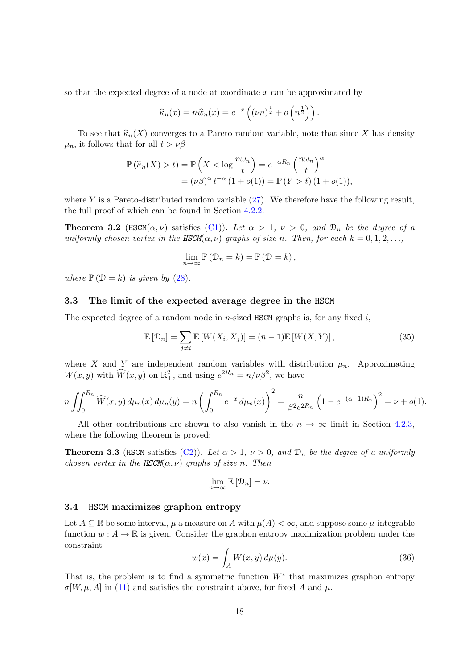so that the expected degree of a node at coordinate x can be approximated by

$$
\widehat{\kappa}_n(x) = n\widehat{w}_n(x) = e^{-x} \left( (\nu n)^{\frac{1}{2}} + o\left( n^{\frac{1}{2}} \right) \right).
$$

To see that  $\widehat{\kappa}_n(X)$  converges to a Pareto random variable, note that since X has density  $\mu_n$ , it follows that for all  $t > \nu \beta$ 

$$
\mathbb{P}\left(\widehat{\kappa}_n(X) > t\right) = \mathbb{P}\left(X < \log \frac{n\omega_n}{t}\right) = e^{-\alpha R_n} \left(\frac{n\omega_n}{t}\right)^{\alpha} \\
= (\nu \beta)^{\alpha} t^{-\alpha} \left(1 + o(1)\right) = \mathbb{P}\left(Y > t\right) \left(1 + o(1)\right),
$$

where Y is a Pareto-distributed random variable  $(27)$ . We therefore have the following result, the full proof of which can be found in Section [4.2.2:](#page-28-0)

<span id="page-17-2"></span>**Theorem 3.2** (HSCM $(\alpha, \nu)$  satisfies [\(C1\)](#page-10-4)). Let  $\alpha > 1$ ,  $\nu > 0$ , and  $\mathcal{D}_n$  be the degree of a uniformly chosen vertex in the HSCM( $\alpha, \nu$ ) graphs of size n. Then, for each  $k = 0, 1, 2, \ldots$ ,

$$
\lim_{n \to \infty} \mathbb{P}(\mathcal{D}_n = k) = \mathbb{P}(\mathcal{D} = k),
$$

where  $\mathbb{P}(\mathcal{D} = k)$  is given by [\(28\)](#page-15-8).

#### <span id="page-17-0"></span>3.3 The limit of the expected average degree in the HSCM

The expected degree of a random node in n-sized HSCM graphs is, for any fixed  $i$ ,

<span id="page-17-5"></span>
$$
\mathbb{E}\left[\mathcal{D}_n\right] = \sum_{j \neq i} \mathbb{E}\left[W(X_i, X_j)\right] = (n-1)\mathbb{E}\left[W(X, Y)\right],\tag{35}
$$

where X and Y are independent random variables with distribution  $\mu_n$ . Approximating  $W(x, y)$  with  $\widehat{W}(x, y)$  on  $\mathbb{R}^2_+$ , and using  $e^{2R_n} = n/\nu\beta^2$ , we have

$$
n\iint_0^{R_n} \widehat{W}(x,y) d\mu_n(x) d\mu_n(y) = n\left(\int_0^{R_n} e^{-x} d\mu_n(x)\right)^2 = \frac{n}{\beta^2 e^{2R_n}} \left(1 - e^{-(\alpha - 1)R_n}\right)^2 = \nu + o(1).
$$

All other contributions are shown to also vanish in the  $n \to \infty$  limit in Section [4.2.3,](#page-30-0) where the following theorem is proved:

<span id="page-17-3"></span>**Theorem 3.3** (HSCM satisfies [\(C2\)](#page-10-3)). Let  $\alpha > 1$ ,  $\nu > 0$ , and  $\mathcal{D}_n$  be the degree of a uniformly chosen vertex in the HSCM( $\alpha, \nu$ ) graphs of size n. Then

$$
\lim_{n \to \infty} \mathbb{E} \left[ \mathcal{D}_n \right] = \nu.
$$

#### <span id="page-17-1"></span>3.4 HSCM maximizes graphon entropy

Let  $A \subseteq \mathbb{R}$  be some interval,  $\mu$  a measure on A with  $\mu(A) < \infty$ , and suppose some  $\mu$ -integrable function  $w : A \to \mathbb{R}$  is given. Consider the graphon entropy maximization problem under the constraint

<span id="page-17-4"></span>
$$
w(x) = \int_{A} W(x, y) d\mu(y).
$$
 (36)

That is, the problem is to find a symmetric function  $W^*$  that maximizes graphon entropy  $\sigma[W,\mu,A]$  in [\(11\)](#page-12-4) and satisfies the constraint above, for fixed A and  $\mu$ .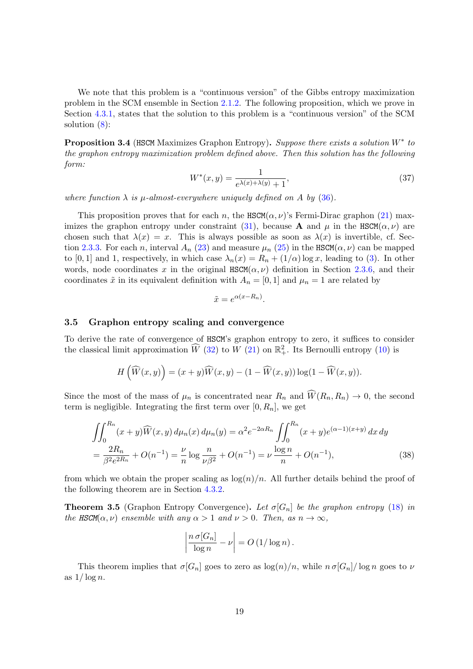We note that this problem is a "continuous version" of the Gibbs entropy maximization problem in the SCM ensemble in Section [2.1.2.](#page-10-1) The following proposition, which we prove in Section [4.3.1,](#page-31-1) states that the solution to this problem is a "continuous version" of the SCM solution [\(8\)](#page-10-5):

<span id="page-18-1"></span>**Proposition 3.4** (HSCM Maximizes Graphon Entropy). Suppose there exists a solution  $W^*$  to the graphon entropy maximization problem defined above. Then this solution has the following form:

<span id="page-18-3"></span>
$$
W^*(x, y) = \frac{1}{e^{\lambda(x) + \lambda(y)} + 1},
$$
\n(37)

where function  $\lambda$  is  $\mu$ -almost-everywhere uniquely defined on A by [\(36\)](#page-17-4).

This proposition proves that for each n, the  $\text{HSCM}(\alpha, \nu)$ 's Fermi-Dirac graphon [\(21\)](#page-15-6) max-imizes the graphon entropy under constraint [\(31\)](#page-16-3), because **A** and  $\mu$  in the HSCM( $\alpha, \nu$ ) are chosen such that  $\lambda(x) = x$ . This is always possible as soon as  $\lambda(x)$  is invertible, cf. Sec-tion [2.3.3.](#page-12-1) For each n, interval  $A_n$  [\(23\)](#page-15-5) and measure  $\mu_n$  [\(25\)](#page-15-4) in the HSCM( $\alpha, \nu$ ) can be mapped to [0, 1] and 1, respectively, in which case  $\lambda_n(x) = R_n + (1/\alpha) \log x$ , leading to [\(3\)](#page-3-2). In other words, node coordinates x in the original  $\text{HSCM}(\alpha, \nu)$  definition in Section [2.3.6,](#page-15-0) and their coordinates  $\tilde{x}$  in its equivalent definition with  $A_n = [0, 1]$  and  $\mu_n = 1$  are related by

$$
\tilde{x} = e^{\alpha(x - R_n)}
$$

.

#### <span id="page-18-0"></span>3.5 Graphon entropy scaling and convergence

To derive the rate of convergence of HSCM's graphon entropy to zero, it suffices to consider the classical limit approximation  $\widehat{W}$  [\(32\)](#page-16-4) to  $W$  [\(21\)](#page-15-6) on  $\mathbb{R}^2_+$ . Its Bernoulli entropy [\(10\)](#page-10-6) is

$$
H\left(\widehat{W}(x,y)\right)=(x+y)\widehat{W}(x,y)-(1-\widehat{W}(x,y))\log(1-\widehat{W}(x,y)).
$$

Since the most of the mass of  $\mu_n$  is concentrated near  $R_n$  and  $\widehat{W}(R_n, R_n) \to 0$ , the second term is negligible. Integrating the first term over  $[0, R_n]$ , we get

$$
\iint_0^{R_n} (x+y)\widehat{W}(x,y) d\mu_n(x) d\mu_n(y) = \alpha^2 e^{-2\alpha R_n} \iint_0^{R_n} (x+y)e^{(\alpha-1)(x+y)} dx dy
$$
  
= 
$$
\frac{2R_n}{\beta^2 e^{2R_n}} + O(n^{-1}) = \frac{\nu}{n} \log \frac{n}{\nu \beta^2} + O(n^{-1}) = \nu \frac{\log n}{n} + O(n^{-1}),
$$
 (38)

from which we obtain the proper scaling as  $\log(n)/n$ . All further details behind the proof of the following theorem are in Section [4.3.2.](#page-33-0)

<span id="page-18-2"></span>**Theorem 3.5** (Graphon Entropy Convergence). Let  $\sigma[G_n]$  be the graphon entropy [\(18\)](#page-14-4) in the HSCM( $\alpha, \nu$ ) ensemble with any  $\alpha > 1$  and  $\nu > 0$ . Then, as  $n \to \infty$ ,

$$
\left|\frac{n\,\sigma[G_n]}{\log n}-\nu\right|=O\left(1/\log n\right).
$$

This theorem implies that  $\sigma[G_n]$  goes to zero as  $\log(n)/n$ , while  $n \sigma[G_n]/\log n$  goes to  $\nu$ as  $1/\log n$ .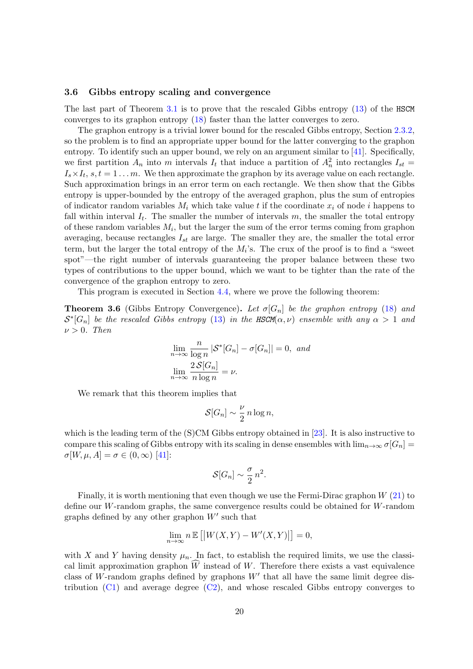#### <span id="page-19-0"></span>3.6 Gibbs entropy scaling and convergence

The last part of Theorem [3.1](#page-16-1) is to prove that the rescaled Gibbs entropy [\(13\)](#page-12-5) of the HSCM converges to its graphon entropy [\(18\)](#page-14-4) faster than the latter converges to zero.

The graphon entropy is a trivial lower bound for the rescaled Gibbs entropy, Section [2.3.2,](#page-12-0) so the problem is to find an appropriate upper bound for the latter converging to the graphon entropy. To identify such an upper bound, we rely on an argument similar to [\[41\]](#page-41-0). Specifically, we first partition  $A_n$  into m intervals  $I_t$  that induce a partition of  $A_n^2$  into rectangles  $I_{st}$  =  $I_s \times I_t$ ,  $s, t = 1 \dots m$ . We then approximate the graphon by its average value on each rectangle. Such approximation brings in an error term on each rectangle. We then show that the Gibbs entropy is upper-bounded by the entropy of the averaged graphon, plus the sum of entropies of indicator random variables  $M_i$  which take value t if the coordinate  $x_i$  of node i happens to fall within interval  $I_t$ . The smaller the number of intervals  $m$ , the smaller the total entropy of these random variables  $M_i$ , but the larger the sum of the error terms coming from graphon averaging, because rectangles  $I_{st}$  are large. The smaller they are, the smaller the total error term, but the larger the total entropy of the  $M_i$ 's. The crux of the proof is to find a "sweet spot"—the right number of intervals guaranteeing the proper balance between these two types of contributions to the upper bound, which we want to be tighter than the rate of the convergence of the graphon entropy to zero.

This program is executed in Section [4.4,](#page-35-0) where we prove the following theorem:

<span id="page-19-1"></span>**Theorem 3.6** (Gibbs Entropy Convergence). Let  $\sigma[G_n]$  be the graphon entropy [\(18\)](#page-14-4) and  $S^*[G_n]$  be the rescaled Gibbs entropy [\(13\)](#page-12-5) in the HSCM( $\alpha, \nu$ ) ensemble with any  $\alpha > 1$  and  $\nu > 0$ . Then

$$
\lim_{n \to \infty} \frac{n}{\log n} |\mathcal{S}^* [G_n] - \sigma[G_n]| = 0, \text{ and}
$$

$$
\lim_{n \to \infty} \frac{2\mathcal{S}[G_n]}{n \log n} = \nu.
$$

We remark that this theorem implies that

$$
\mathcal{S}[G_n] \sim \frac{\nu}{2} n \log n,
$$

which is the leading term of the (S)CM Gibbs entropy obtained in [\[23\]](#page-39-13). It is also instructive to compare this scaling of Gibbs entropy with its scaling in dense ensembles with  $\lim_{n\to\infty} \sigma[G_n]$  $\sigma[W,\mu,A]=\sigma\in(0,\infty)$  [\[41\]](#page-41-0):

$$
\mathcal{S}[G_n] \sim \frac{\sigma}{2} n^2.
$$

Finally, it is worth mentioning that even though we use the Fermi-Dirac graphon W [\(21\)](#page-15-6) to define our W-random graphs, the same convergence results could be obtained for  $W$ -random graphs defined by any other graphon  $W'$  such that

$$
\lim_{n \to \infty} n \mathbb{E} [ |W(X, Y) - W'(X, Y)| ] = 0,
$$

with X and Y having density  $\mu_n$ . In fact, to establish the required limits, we use the classical limit approximation graphon  $\widehat{W}$  instead of W. Therefore there exists a vast equivalence class of W-random graphs defined by graphons  $W'$  that all have the same limit degree distribution [\(C1\)](#page-10-4) and average degree [\(C2\)](#page-10-3), and whose rescaled Gibbs entropy converges to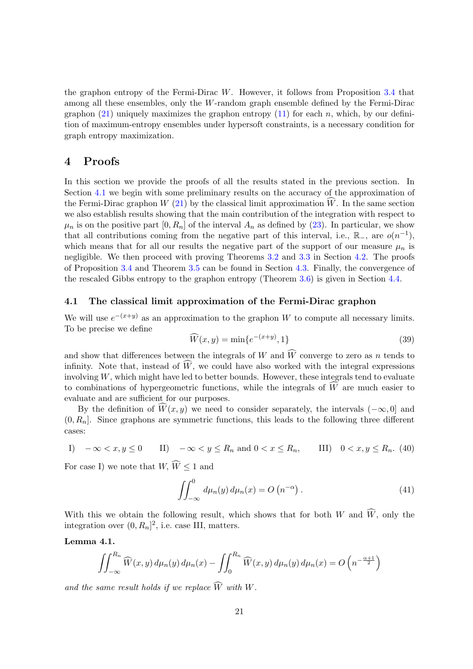the graphon entropy of the Fermi-Dirac W. However, it follows from Proposition [3.4](#page-18-1) that among all these ensembles, only the W-random graph ensemble defined by the Fermi-Dirac graphon  $(21)$  uniquely maximizes the graphon entropy  $(11)$  for each n, which, by our definition of maximum-entropy ensembles under hypersoft constraints, is a necessary condition for graph entropy maximization.

### <span id="page-20-0"></span>4 Proofs

In this section we provide the proofs of all the results stated in the previous section. In Section [4.1](#page-20-1) we begin with some preliminary results on the accuracy of the approximation of the Fermi-Dirac graphon  $W(21)$  $W(21)$  by the classical limit approximation  $\hat{W}$ . In the same section we also establish results showing that the main contribution of the integration with respect to  $\mu_n$  is on the positive part  $[0, R_n]$  of the interval  $A_n$  as defined by [\(23\)](#page-15-5). In particular, we show that all contributions coming from the negative part of this interval, i.e.,  $\mathbb{R}_-$ , are  $o(n^{-1})$ , which means that for all our results the negative part of the support of our measure  $\mu_n$  is negligible. We then proceed with proving Theorems [3.2](#page-17-2) and [3.3](#page-17-3) in Section [4.2.](#page-25-0) The proofs of Proposition [3.4](#page-18-1) and Theorem [3.5](#page-18-2) can be found in Section [4.3.](#page-31-0) Finally, the convergence of the rescaled Gibbs entropy to the graphon entropy (Theorem [3.6\)](#page-19-1) is given in Section [4.4.](#page-35-0)

### <span id="page-20-1"></span>4.1 The classical limit approximation of the Fermi-Dirac graphon

We will use  $e^{-(x+y)}$  as an approximation to the graphon W to compute all necessary limits. To be precise we define

$$
\widehat{W}(x,y) = \min\{e^{-(x+y)}, 1\}
$$
\n(39)

and show that differences between the integrals of W and  $\widehat{W}$  converge to zero as n tends to infinity. Note that, instead of  $\widehat{W}$ , we could have also worked with the integral expressions involving  $W$ , which might have led to better bounds. However, these integrals tend to evaluate to combinations of hypergeometric functions, while the integrals of  $\widehat{W}$  are much easier to evaluate and are sufficient for our purposes.

By the definition of  $\widehat{W}(x, y)$  we need to consider separately, the intervals  $(-\infty, 0]$  and  $(0, R_n]$ . Since graphons are symmetric functions, this leads to the following three different cases:

I) 
$$
-\infty < x, y \le 0
$$
 II)  $-\infty < y \le R_n$  and  $0 < x \le R_n$ , III)  $0 < x, y \le R_n$ . (40)

For case I) we note that  $W, \widehat{W} \leq 1$  and

<span id="page-20-2"></span>
$$
\iint_{-\infty}^{0} d\mu_n(y) d\mu_n(x) = O\left(n^{-\alpha}\right). \tag{41}
$$

With this we obtain the following result, which shows that for both W and  $\widehat{W}$ , only the integration over  $(0, R_n]^2$ , i.e. case III, matters.

#### <span id="page-20-3"></span>Lemma 4.1.

$$
\iint_{-\infty}^{R_n} \widehat{W}(x, y) d\mu_n(y) d\mu_n(x) - \iint_0^{R_n} \widehat{W}(x, y) d\mu_n(y) d\mu_n(x) = O\left(n^{-\frac{\alpha+1}{2}}\right)
$$

and the same result holds if we replace  $\widehat{W}$  with W.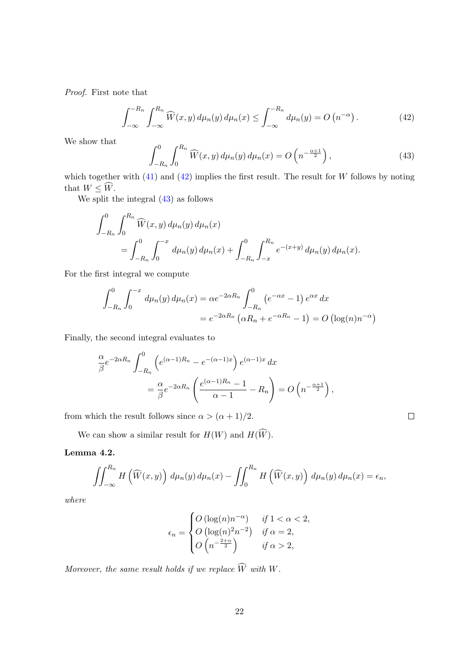Proof. First note that

<span id="page-21-0"></span>
$$
\int_{-\infty}^{-R_n} \int_{-\infty}^{R_n} \widehat{W}(x, y) d\mu_n(y) d\mu_n(x) \le \int_{-\infty}^{-R_n} d\mu_n(y) = O\left(n^{-\alpha}\right).
$$
 (42)

We show that

<span id="page-21-1"></span>
$$
\int_{-R_n}^{0} \int_0^{R_n} \widehat{W}(x, y) \, d\mu_n(y) \, d\mu_n(x) = O\left(n^{-\frac{\alpha+1}{2}}\right),\tag{43}
$$

which together with  $(41)$  and  $(42)$  implies the first result. The result for W follows by noting that  $W \leq \widehat{W}$ .

We split the integral [\(43\)](#page-21-1) as follows

$$
\int_{-R_n}^{0} \int_0^{R_n} \widehat{W}(x, y) d\mu_n(y) d\mu_n(x) = \int_{-R_n}^{0} \int_0^{-x} d\mu_n(y) d\mu_n(x) + \int_{-R_n}^{0} \int_{-x}^{R_n} e^{-(x+y)} d\mu_n(y) d\mu_n(x).
$$

For the first integral we compute

$$
\int_{-R_n}^{0} \int_0^{-x} d\mu_n(y) d\mu_n(x) = \alpha e^{-2\alpha R_n} \int_{-R_n}^{0} (e^{-\alpha x} - 1) e^{\alpha x} dx
$$
  
=  $e^{-2\alpha R_n} (\alpha R_n + e^{-\alpha R_n} - 1) = O(\log(n)n^{-\alpha})$ 

Finally, the second integral evaluates to

$$
\frac{\alpha}{\beta}e^{-2\alpha R_n} \int_{-R_n}^0 \left(e^{(\alpha-1)R_n} - e^{-(\alpha-1)x}\right) e^{(\alpha-1)x} dx
$$

$$
= \frac{\alpha}{\beta}e^{-2\alpha R_n} \left(\frac{e^{(\alpha-1)R_n} - 1}{\alpha - 1} - R_n\right) = O\left(n^{-\frac{\alpha+1}{2}}\right),
$$

from which the result follows since  $\alpha > (\alpha + 1)/2$ .

 $\Box$ 

We can show a similar result for  $H(W)$  and  $H(\widehat{W})$ .

### <span id="page-21-2"></span>Lemma 4.2.

$$
\iint_{-\infty}^{R_n} H\left(\widehat{W}(x,y)\right) d\mu_n(y) d\mu_n(x) - \iint_0^{R_n} H\left(\widehat{W}(x,y)\right) d\mu_n(y) d\mu_n(x) = \epsilon_n,
$$

where

$$
\epsilon_n = \begin{cases} O\left(\log(n)n^{-\alpha}\right) & \text{if } 1 < \alpha < 2, \\ O\left(\log(n)^2 n^{-2}\right) & \text{if } \alpha = 2, \\ O\left(n^{-\frac{2+\alpha}{2}}\right) & \text{if } \alpha > 2, \end{cases}
$$

Moreover, the same result holds if we replace  $\widehat{W}$  with W.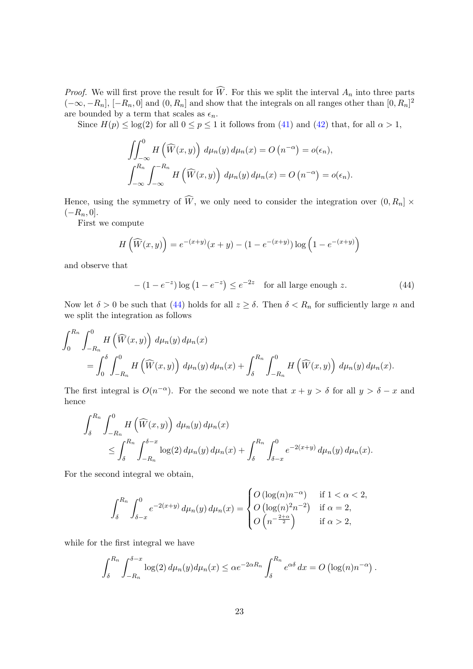*Proof.* We will first prove the result for W. For this we split the interval  $A_n$  into three parts  $(-\infty, -R_n]$ ,  $[-R_n, 0]$  and  $(0, R_n]$  and show that the integrals on all ranges other than  $[0, R_n]^2$ are bounded by a term that scales as  $\epsilon_n$ .

Since  $H(p) \leq \log(2)$  for all  $0 \leq p \leq 1$  it follows from [\(41\)](#page-20-2) and [\(42\)](#page-21-0) that, for all  $\alpha > 1$ ,

$$
\iint_{-\infty}^{0} H(\widehat{W}(x, y)) d\mu_n(y) d\mu_n(x) = O(n^{-\alpha}) = o(\epsilon_n),
$$
  

$$
\int_{-\infty}^{R_n} \int_{-\infty}^{-R_n} H(\widehat{W}(x, y)) d\mu_n(y) d\mu_n(x) = O(n^{-\alpha}) = o(\epsilon_n).
$$

Hence, using the symmetry of  $\widehat{W}$ , we only need to consider the integration over  $(0, R_n] \times$  $(-R_n, 0].$ 

First we compute

$$
H\left(\widehat{W}(x,y)\right) = e^{-(x+y)}(x+y) - (1 - e^{-(x+y)}) \log\left(1 - e^{-(x+y)}\right)
$$

and observe that

<span id="page-22-0"></span>
$$
-(1-e^{-z})\log(1-e^{-z}) \le e^{-2z} \quad \text{for all large enough } z. \tag{44}
$$

Now let  $\delta > 0$  be such that [\(44\)](#page-22-0) holds for all  $z \geq \delta$ . Then  $\delta < R_n$  for sufficiently large n and we split the integration as follows

$$
\int_0^{R_n} \int_{-R_n}^0 H(\widehat{W}(x, y)) d\mu_n(y) d\mu_n(x)
$$
  
= 
$$
\int_0^{\delta} \int_{-R_n}^0 H(\widehat{W}(x, y)) d\mu_n(y) d\mu_n(x) + \int_{\delta}^{R_n} \int_{-R_n}^0 H(\widehat{W}(x, y)) d\mu_n(y) d\mu_n(x).
$$

The first integral is  $O(n^{-\alpha})$ . For the second we note that  $x + y > \delta$  for all  $y > \delta - x$  and hence

$$
\int_{\delta}^{R_n} \int_{-R_n}^{0} H(\widehat{W}(x, y)) d\mu_n(y) d\mu_n(x) \le \int_{\delta}^{R_n} \int_{-R_n}^{\delta - x} \log(2) d\mu_n(y) d\mu_n(x) + \int_{\delta}^{R_n} \int_{\delta - x}^{0} e^{-2(x+y)} d\mu_n(y) d\mu_n(x).
$$

For the second integral we obtain,

$$
\int_{\delta}^{R_n} \int_{\delta-x}^0 e^{-2(x+y)} d\mu_n(y) d\mu_n(x) = \begin{cases} O\left(\log(n)n^{-\alpha}\right) & \text{if } 1 < \alpha < 2, \\ O\left(\log(n)^2 n^{-2}\right) & \text{if } \alpha = 2, \\ O\left(n^{-\frac{2+\alpha}{2}}\right) & \text{if } \alpha > 2, \end{cases}
$$

while for the first integral we have

$$
\int_{\delta}^{R_n} \int_{-R_n}^{\delta-x} \log(2) d\mu_n(y) d\mu_n(x) \leq \alpha e^{-2\alpha R_n} \int_{\delta}^{R_n} e^{\alpha \delta} dx = O\left(\log(n) n^{-\alpha}\right).
$$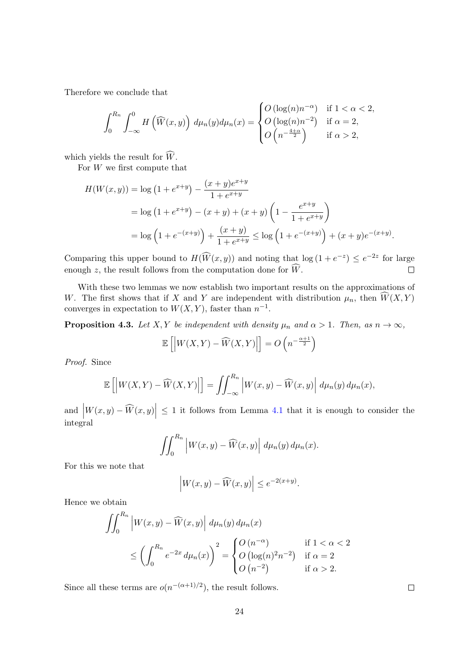Therefore we conclude that

$$
\int_0^{R_n} \int_{-\infty}^0 H\left(\widehat{W}(x,y)\right) d\mu_n(y) d\mu_n(x) = \begin{cases} O\left(\log(n)n^{-\alpha}\right) & \text{if } 1 < \alpha < 2, \\ O\left(\log(n)n^{-2}\right) & \text{if } \alpha = 2, \\ O\left(n^{-\frac{4+\alpha}{2}}\right) & \text{if } \alpha > 2, \end{cases}
$$

which yields the result for  $\widehat{W}$ .

For  $W$  we first compute that

$$
H(W(x, y)) = \log (1 + e^{x+y}) - \frac{(x+y)e^{x+y}}{1 + e^{x+y}}
$$
  
=  $\log (1 + e^{x+y}) - (x+y) + (x+y) \left(1 - \frac{e^{x+y}}{1 + e^{x+y}}\right)$   
=  $\log \left(1 + e^{-(x+y)}\right) + \frac{(x+y)}{1 + e^{x+y}} \le \log \left(1 + e^{-(x+y)}\right) + (x+y)e^{-(x+y)}.$ 

Comparing this upper bound to  $H(\widehat{W}(x, y))$  and noting that  $\log(1 + e^{-z}) \leq e^{-2z}$  for large enough z, the result follows from the computation done for  $\widehat{W}$ .  $\Box$ 

With these two lemmas we now establish two important results on the approximations of W. The first shows that if X and Y are independent with distribution  $\mu_n$ , then  $\overline{W}(X, Y)$ converges in expectation to  $W(X, Y)$ , faster than  $n^{-1}$ .

<span id="page-23-0"></span>**Proposition 4.3.** Let X, Y be independent with density  $\mu_n$  and  $\alpha > 1$ . Then, as  $n \to \infty$ ,

$$
\mathbb{E}\left[\left|W(X,Y)-\widehat{W}(X,Y)\right|\right]=O\left(n^{-\frac{\alpha+1}{2}}\right)
$$

Proof. Since

$$
\mathbb{E}\left[\left|W(X,Y)-\widehat{W}(X,Y)\right|\right]=\iint_{-\infty}^{R_n}\left|W(x,y)-\widehat{W}(x,y)\right|d\mu_n(y)\,d\mu_n(x),
$$

and  $|W(x,y) - \widehat{W}(x,y)| \leq 1$  it follows from Lemma [4.1](#page-20-3) that it is enough to consider the integral

$$
\iint_0^{R_n} \left| W(x, y) - \widehat{W}(x, y) \right| d\mu_n(y) d\mu_n(x).
$$

For this we note that

$$
\left| W(x,y) - \widehat{W}(x,y) \right| \le e^{-2(x+y)}.
$$

Hence we obtain

$$
\iint_0^{R_n} \left| W(x, y) - \widehat{W}(x, y) \right| d\mu_n(y) d\mu_n(x)
$$
\n
$$
\leq \left( \int_0^{R_n} e^{-2x} d\mu_n(x) \right)^2 = \begin{cases} O\left( n^{-\alpha} \right) & \text{if } 1 < \alpha < 2 \\ O\left( \log(n)^2 n^{-2} \right) & \text{if } \alpha = 2 \\ O\left( n^{-2} \right) & \text{if } \alpha > 2. \end{cases}
$$

Since all these terms are  $o(n^{-(\alpha+1)/2})$ , the result follows.

 $\Box$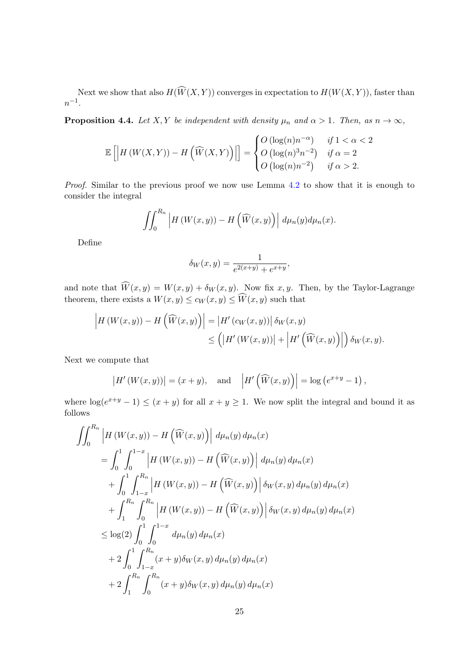Next we show that also  $H(\widehat{W}(X, Y))$  converges in expectation to  $H(W(X, Y))$ , faster than  $n^{-1}$ .

<span id="page-24-0"></span>**Proposition 4.4.** Let X, Y be independent with density  $\mu_n$  and  $\alpha > 1$ . Then, as  $n \to \infty$ ,

$$
\mathbb{E}\left[\left|H\left(W(X,Y)\right) - H\left(\widehat{W}(X,Y)\right)\right|\right] = \begin{cases} O\left(\log(n)n^{-\alpha}\right) & \text{if } 1 < \alpha < 2 \\ O\left(\log(n)^3 n^{-2}\right) & \text{if } \alpha = 2 \\ O\left(\log(n)n^{-2}\right) & \text{if } \alpha > 2. \end{cases}
$$

Proof. Similar to the previous proof we now use Lemma [4.2](#page-21-2) to show that it is enough to consider the integral

$$
\iint_0^{R_n} \left| H\left(W(x,y)\right) - H\left(\widehat{W}(x,y)\right) \right| d\mu_n(y) d\mu_n(x).
$$

Define

$$
\delta_W(x,y)=\frac{1}{e^{2(x+y)}+e^{x+y}},
$$

and note that  $W(x, y) = W(x, y) + \delta_W(x, y)$ . Now fix x, y. Then, by the Taylor-Lagrange theorem, there exists a  $W(x, y) \le c_W(x, y) \le W(x, y)$  such that

$$
\left| H\left(W(x,y)\right) - H\left(\widehat{W}(x,y)\right) \right| = \left| H'\left(c_W(x,y)\right) \right| \delta_W(x,y) \le \left( \left| H'\left(W(x,y)\right) \right| + \left| H'\left(\widehat{W}(x,y)\right) \right| \right) \delta_W(x,y).
$$

Next we compute that

$$
\left| H'\left(W(x,y)\right) \right| = (x+y), \quad \text{and} \quad \left| H'\left(\widehat{W}(x,y)\right) \right| = \log\left(e^{x+y} - 1\right),
$$

where  $\log(e^{x+y}-1) \leq (x+y)$  for all  $x+y \geq 1$ . We now split the integral and bound it as follows

$$
\iint_{0}^{R_{n}} \left| H(W(x, y)) - H(\widehat{W}(x, y)) \right| d\mu_{n}(y) d\mu_{n}(x)
$$
\n
$$
= \int_{0}^{1} \int_{0}^{1-x} \left| H(W(x, y)) - H(\widehat{W}(x, y)) \right| d\mu_{n}(y) d\mu_{n}(x)
$$
\n
$$
+ \int_{0}^{1} \int_{1-x}^{R_{n}} \left| H(W(x, y)) - H(\widehat{W}(x, y)) \right| \delta_{W}(x, y) d\mu_{n}(y) d\mu_{n}(x)
$$
\n
$$
+ \int_{1}^{R_{n}} \int_{0}^{R_{n}} \left| H(W(x, y)) - H(\widehat{W}(x, y)) \right| \delta_{W}(x, y) d\mu_{n}(y) d\mu_{n}(x)
$$
\n
$$
\leq \log(2) \int_{0}^{1} \int_{0}^{1-x} d\mu_{n}(y) d\mu_{n}(x)
$$
\n
$$
+ 2 \int_{0}^{1} \int_{1-x}^{R_{n}} (x+y) \delta_{W}(x, y) d\mu_{n}(y) d\mu_{n}(x)
$$
\n
$$
+ 2 \int_{1}^{R_{n}} \int_{0}^{R_{n}} (x+y) \delta_{W}(x, y) d\mu_{n}(y) d\mu_{n}(x)
$$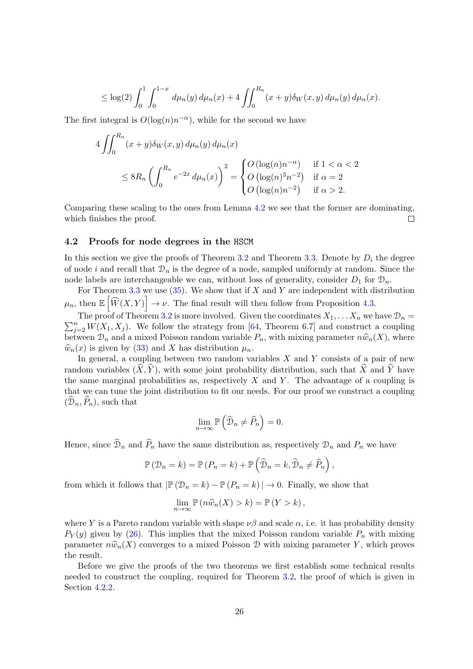$$
\leq \log(2) \int_0^1 \int_0^{1-x} d\mu_n(y) d\mu_n(x) + 4 \iint_0^{R_n} (x+y) \delta_W(x,y) d\mu_n(y) d\mu_n(x).
$$

The first integral is  $O(\log(n)n^{-\alpha})$ , while for the second we have

$$
4 \iint_0^{R_n} (x+y)\delta_W(x,y) d\mu_n(y) d\mu_n(x)
$$
  
\n
$$
\leq 8R_n \left( \int_0^{R_n} e^{-2x} d\mu_n(x) \right)^2 = \begin{cases} O(\log(n)n^{-\alpha}) & \text{if } 1 < \alpha < 2\\ O(\log(n)^3 n^{-2}) & \text{if } \alpha = 2\\ O(\log(n)n^{-2}) & \text{if } \alpha > 2. \end{cases}
$$

Comparing these scaling to the ones from Lemma [4.2](#page-21-2) we see that the former are dominating, which finishes the proof.  $\Box$ 

#### <span id="page-25-0"></span>4.2 Proofs for node degrees in the HSCM

In this section we give the proofs of Theorem [3.2](#page-17-2) and Theorem [3.3.](#page-17-3) Denote by  $D_i$  the degree of node i and recall that  $\mathcal{D}_n$  is the degree of a node, sampled uniformly at random. Since the node labels are interchangeable we can, without loss of generality, consider  $D_1$  for  $\mathcal{D}_n$ .

For Theorem [3.3](#page-17-3) we use  $(35)$ . We show that if X and Y are independent with distribution  $\mu_n$ , then  $\mathbb{E}\left[\widehat{W}(X,Y)\right] \to \nu$ . The final result will then follow from Proposition [4.3.](#page-23-0)

 $\sum_{j=2}^{n} W(X_1, X_j)$ . We follow the strategy from [\[64,](#page-42-6) Theorem 6.7] and construct a coupling The proof of Theorem [3.2](#page-17-2) is more involved. Given the coordinates  $X_1, \ldots X_n$  we have  $\mathcal{D}_n =$ between  $\mathcal{D}_n$  and a mixed Poisson random variable  $P_n$ , with mixing parameter  $n\hat{w}_n(X)$ , where  $\widehat{w}_n(x)$  is given by [\(33\)](#page-16-5) and X has distribution  $\mu_n$ .

In general, a coupling between two random variables  $X$  and  $Y$  consists of a pair of new random variables  $(\widehat{X}, \widehat{Y})$ , with some joint probability distribution, such that  $\widehat{X}$  and  $\widehat{Y}$  have the same marginal probabilities as, respectively  $X$  and  $Y$ . The advantage of a coupling is that we can tune the joint distribution to fit our needs. For our proof we construct a coupling  $(\mathcal{D}_n, \overline{P}_n)$ , such that

$$
\lim_{n \to \infty} \mathbb{P}\left(\widehat{\mathcal{D}}_n \neq \widehat{P}_n\right) = 0.
$$

Hence, since  $\mathcal{D}_n$  and  $P_n$  have the same distribution as, respectively  $\mathcal{D}_n$  and  $P_n$  we have

$$
\mathbb{P}(\mathcal{D}_n = k) = \mathbb{P}(P_n = k) + \mathbb{P}\left(\widehat{\mathcal{D}}_n = k, \widehat{\mathcal{D}}_n \neq \widehat{P}_n\right)
$$

,

from which it follows that  $|\mathbb{P}(\mathcal{D}_n = k) - \mathbb{P}(P_n = k)| \to 0$ . Finally, we show that

$$
\lim_{n \to \infty} \mathbb{P}\left(n\widehat{w}_n(X) > k\right) = \mathbb{P}\left(Y > k\right),\,
$$

where Y is a Pareto random variable with shape  $\nu\beta$  and scale  $\alpha$ , i.e. it has probability density  $P_Y(y)$  given by [\(26\)](#page-15-3). This implies that the mixed Poisson random variable  $P_n$  with mixing parameter  $n\hat{w}_n(X)$  converges to a mixed Poisson D with mixing parameter Y, which proves the result.

Before we give the proofs of the two theorems we first establish some technical results needed to construct the coupling, required for Theorem [3.2,](#page-17-2) the proof of which is given in Section [4.2.2.](#page-28-0)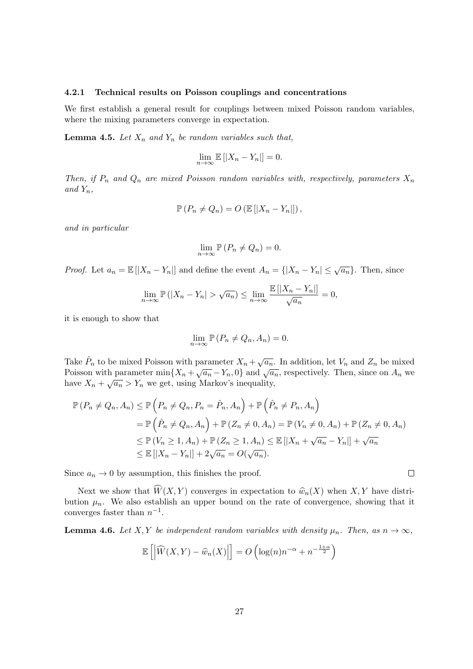#### <span id="page-26-0"></span>4.2.1 Technical results on Poisson couplings and concentrations

We first establish a general result for couplings between mixed Poisson random variables, where the mixing parameters converge in expectation.

<span id="page-26-2"></span>**Lemma 4.5.** Let  $X_n$  and  $Y_n$  be random variables such that,

$$
\lim_{n \to \infty} \mathbb{E} [ |X_n - Y_n| ] = 0.
$$

Then, if  $P_n$  and  $Q_n$  are mixed Poisson random variables with, respectively, parameters  $X_n$ and  $Y_n$ ,

$$
\mathbb{P}\left(P_n \neq Q_n\right) = O\left(\mathbb{E}\left[|X_n - Y_n|\right]\right),\,
$$

and in particular

$$
\lim_{n \to \infty} \mathbb{P}\left(P_n \neq Q_n\right) = 0.
$$

*Proof.* Let  $a_n = \mathbb{E}[|X_n - Y_n|]$  and define the event  $A_n = \{|X_n - Y_n| \leq \sqrt{a_n}\}\.$  Then, since

$$
\lim_{n \to \infty} \mathbb{P}(|X_n - Y_n| > \sqrt{a_n}) \le \lim_{n \to \infty} \frac{\mathbb{E} [ |X_n - Y_n| ]}{\sqrt{a_n}} = 0,
$$

it is enough to show that

$$
\lim_{n \to \infty} \mathbb{P}\left(P_n \neq Q_n, A_n\right) = 0.
$$

Take  $\hat{P}_n$  to be mixed Poisson with parameter  $X_n + \sqrt{a_n}$ . In addition, let  $V_n$  and  $Z_n$  be mixed Poisson with parameter min $\{X_n + \sqrt{a_n} - Y_n, 0\}$  and  $\sqrt{a_n}$ , respectively. Then, since on  $A_n$  we have  $X_n + \sqrt{a_n} > Y_n$  we get, using Markov's inequality,

$$
\mathbb{P}\left(P_n \neq Q_n, A_n\right) \leq \mathbb{P}\left(P_n \neq Q_n, P_n = \hat{P}_n, A_n\right) + \mathbb{P}\left(\hat{P}_n \neq P_n, A_n\right)
$$
  
\n
$$
= \mathbb{P}\left(\hat{P}_n \neq Q_n, A_n\right) + \mathbb{P}\left(Z_n \neq 0, A_n\right) = \mathbb{P}\left(V_n \neq 0, A_n\right) + \mathbb{P}\left(Z_n \neq 0, A_n\right)
$$
  
\n
$$
\leq \mathbb{P}\left(V_n \geq 1, A_n\right) + \mathbb{P}\left(Z_n \geq 1, A_n\right) \leq \mathbb{E}\left[\left|X_n + \sqrt{a_n} - Y_n\right|\right] + \sqrt{a_n}
$$
  
\n
$$
\leq \mathbb{E}\left[\left|X_n - Y_n\right|\right] + 2\sqrt{a_n} = O(\sqrt{a_n}).
$$

Since  $a_n \to 0$  by assumption, this finishes the proof.

Next we show that  $\widehat{W}(X, Y)$  converges in expectation to  $\widehat{w}_n(X)$  when  $X, Y$  have distribution  $\mu_n$ . We also establish an upper bound on the rate of convergence, showing that it converges faster than  $n^{-1}$ .

<span id="page-26-1"></span>**Lemma 4.6.** Let X, Y be independent random variables with density  $\mu_n$ . Then, as  $n \to \infty$ ,

$$
\mathbb{E}\left[\left|\widehat{W}(X,Y)-\widehat{w}_n(X)\right|\right] = O\left(\log(n)n^{-\alpha} + n^{-\frac{1+\alpha}{2}}\right)
$$

 $\Box$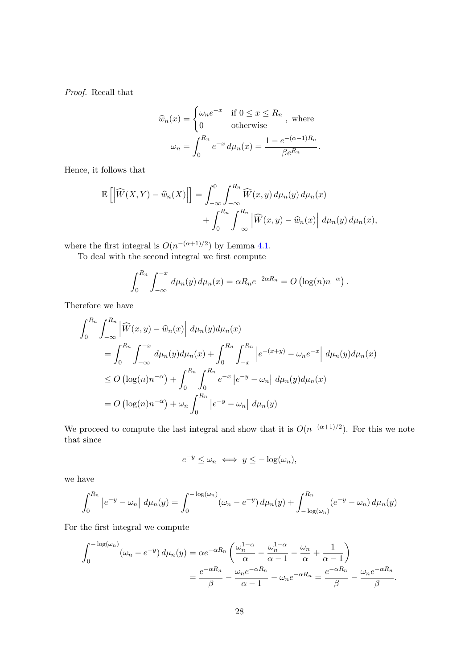Proof. Recall that

$$
\widehat{w}_n(x) = \begin{cases}\n\omega_n e^{-x} & \text{if } 0 \le x \le R_n \\
0 & \text{otherwise}\n\end{cases}
$$
, where  

$$
\omega_n = \int_0^{R_n} e^{-x} d\mu_n(x) = \frac{1 - e^{-(\alpha - 1)R_n}}{\beta e^{R_n}}.
$$

Hence, it follows that

$$
\mathbb{E}\left[\left|\widehat{W}(X,Y)-\widehat{w}_n(X)\right|\right] = \int_{-\infty}^0 \int_{-\infty}^{R_n} \widehat{W}(x,y) \, d\mu_n(y) \, d\mu_n(x) + \int_0^{R_n} \int_{-\infty}^{R_n} \left|\widehat{W}(x,y)-\widehat{w}_n(x)\right| \, d\mu_n(y) \, d\mu_n(x),
$$

where the first integral is  $O(n^{-(\alpha+1)/2})$  by Lemma [4.1.](#page-20-3)

To deal with the second integral we first compute

$$
\int_0^{R_n} \int_{-\infty}^{-x} d\mu_n(y) d\mu_n(x) = \alpha R_n e^{-2\alpha R_n} = O\left(\log(n) n^{-\alpha}\right).
$$

Therefore we have

$$
\int_{0}^{R_{n}} \int_{-\infty}^{R_{n}} \left| \widehat{W}(x, y) - \widehat{w}_{n}(x) \right| d\mu_{n}(y) d\mu_{n}(x)
$$
  
\n
$$
= \int_{0}^{R_{n}} \int_{-\infty}^{-x} d\mu_{n}(y) d\mu_{n}(x) + \int_{0}^{R_{n}} \int_{-x}^{R_{n}} \left| e^{-(x+y)} - \omega_{n} e^{-x} \right| d\mu_{n}(y) d\mu_{n}(x)
$$
  
\n
$$
\leq O\left( \log(n) n^{-\alpha} \right) + \int_{0}^{R_{n}} \int_{0}^{R_{n}} e^{-x} \left| e^{-y} - \omega_{n} \right| d\mu_{n}(y) d\mu_{n}(x)
$$
  
\n
$$
= O\left( \log(n) n^{-\alpha} \right) + \omega_{n} \int_{0}^{R_{n}} \left| e^{-y} - \omega_{n} \right| d\mu_{n}(y)
$$

We proceed to compute the last integral and show that it is  $O(n^{-(\alpha+1)/2})$ . For this we note that since

$$
e^{-y} \le \omega_n \iff y \le -\log(\omega_n),
$$

we have

$$
\int_0^{R_n} |e^{-y} - \omega_n| d\mu_n(y) = \int_0^{-\log(\omega_n)} (\omega_n - e^{-y}) d\mu_n(y) + \int_{-\log(\omega_n)}^{R_n} (e^{-y} - \omega_n) d\mu_n(y)
$$

For the first integral we compute

$$
\int_0^{-\log(\omega_n)} (\omega_n - e^{-y}) d\mu_n(y) = \alpha e^{-\alpha R_n} \left( \frac{\omega_n^{1-\alpha}}{\alpha} - \frac{\omega_n^{1-\alpha}}{\alpha - 1} - \frac{\omega_n}{\alpha} + \frac{1}{\alpha - 1} \right)
$$

$$
= \frac{e^{-\alpha R_n}}{\beta} - \frac{\omega_n e^{-\alpha R_n}}{\alpha - 1} - \omega_n e^{-\alpha R_n} = \frac{e^{-\alpha R_n}}{\beta} - \frac{\omega_n e^{-\alpha R_n}}{\beta}.
$$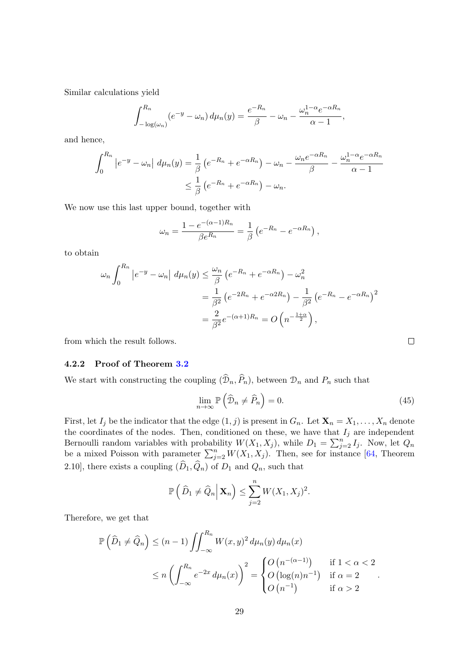Similar calculations yield

$$
\int_{-\log(\omega_n)}^{R_n} (e^{-y} - \omega_n) d\mu_n(y) = \frac{e^{-R_n}}{\beta} - \omega_n - \frac{\omega_n^{1-\alpha} e^{-\alpha R_n}}{\alpha - 1},
$$

and hence,

$$
\int_0^{R_n} |e^{-y} - \omega_n| d\mu_n(y) = \frac{1}{\beta} (e^{-R_n} + e^{-\alpha R_n}) - \omega_n - \frac{\omega_n e^{-\alpha R_n}}{\beta} - \frac{\omega_n^{1-\alpha} e^{-\alpha R_n}}{\alpha - 1}
$$

$$
\leq \frac{1}{\beta} (e^{-R_n} + e^{-\alpha R_n}) - \omega_n.
$$

We now use this last upper bound, together with

$$
\omega_n = \frac{1 - e^{-(\alpha - 1)R_n}}{\beta e^{R_n}} = \frac{1}{\beta} \left( e^{-R_n} - e^{-\alpha R_n} \right),
$$

to obtain

$$
\omega_n \int_0^{R_n} \left| e^{-y} - \omega_n \right| d\mu_n(y) \le \frac{\omega_n}{\beta} \left( e^{-R_n} + e^{-\alpha R_n} \right) - \omega_n^2
$$
  
=  $\frac{1}{\beta^2} \left( e^{-2R_n} + e^{-\alpha 2R_n} \right) - \frac{1}{\beta^2} \left( e^{-R_n} - e^{-\alpha R_n} \right)^2$   
=  $\frac{2}{\beta^2} e^{-(\alpha+1)R_n} = O\left( n^{-\frac{1+\alpha}{2}} \right),$ 

from which the result follows.

#### <span id="page-28-0"></span>4.2.2 Proof of Theorem [3.2](#page-17-2)

We start with constructing the coupling  $(\mathcal{D}_n, \overline{P}_n)$ , between  $\mathcal{D}_n$  and  $P_n$  such that

<span id="page-28-1"></span>
$$
\lim_{n \to \infty} \mathbb{P}\left(\widehat{\mathcal{D}}_n \neq \widehat{P}_n\right) = 0. \tag{45}
$$

 $\Box$ 

First, let  $I_j$  be the indicator that the edge  $(1, j)$  is present in  $G_n$ . Let  $\mathbf{X}_n = X_1, \ldots, X_n$  denote the coordinates of the nodes. Then, conditioned on these, we have that  $I_j$  are independent Bernoulli random variables with probability  $W(X_1, X_j)$ , while  $D_1 = \sum_{j=2}^n I_j$ . Now, let  $Q_n$ be a mixed Poisson with parameter  $\sum_{j=2}^{n} W(X_1, X_j)$ . Then, see for instance [\[64,](#page-42-6) Theorem 2.10], there exists a coupling  $(\widehat{D}_1, \widehat{Q}_n)$  of  $D_1$  and  $Q_n$ , such that

$$
\mathbb{P}\left(\left.\widehat{D}_1\neq \widehat{Q}_n\right|\mathbf{X}_n\right)\leq \sum_{j=2}^n W(X_1,X_j)^2.
$$

Therefore, we get that

$$
\mathbb{P}\left(\widehat{D}_1 \neq \widehat{Q}_n\right) \leq (n-1) \iint_{-\infty}^{R_n} W(x, y)^2 d\mu_n(y) d\mu_n(x)
$$
  
\n
$$
\leq n \left( \int_{-\infty}^{R_n} e^{-2x} d\mu_n(x) \right)^2 = \begin{cases} O\left(n^{-(\alpha-1)}\right) & \text{if } 1 < \alpha < 2\\ O\left(\log(n)n^{-1}\right) & \text{if } \alpha = 2\\ O\left(n^{-1}\right) & \text{if } \alpha > 2 \end{cases}.
$$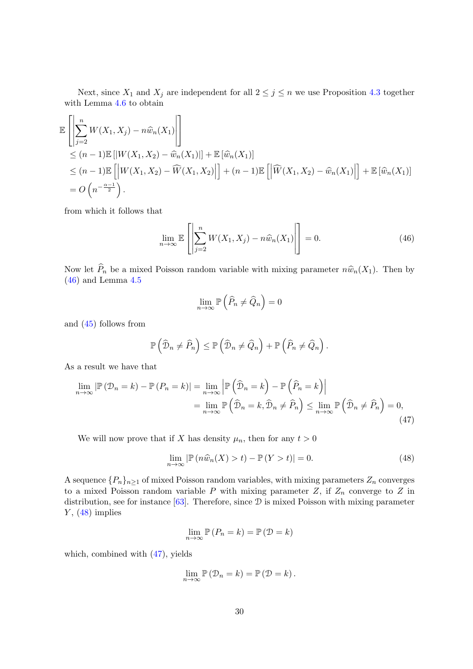Next, since  $X_1$  and  $X_j$  are independent for all  $2 \leq j \leq n$  we use Proposition [4.3](#page-23-0) together with Lemma [4.6](#page-26-1) to obtain

$$
\mathbb{E}\left[\left|\sum_{j=2}^{n}W(X_1,X_j) - n\widehat{w}_n(X_1)\right|\right] \n\leq (n-1)\mathbb{E}\left[\left|W(X_1,X_2) - \widehat{w}_n(X_1)\right|\right] + \mathbb{E}\left[\widehat{w}_n(X_1)\right] \n\leq (n-1)\mathbb{E}\left[\left|W(X_1,X_2) - \widehat{W}(X_1,X_2)\right|\right] + (n-1)\mathbb{E}\left[\left|\widehat{W}(X_1,X_2) - \widehat{w}_n(X_1)\right|\right] + \mathbb{E}\left[\widehat{w}_n(X_1)\right] \n= O\left(n^{-\frac{\alpha-1}{2}}\right).
$$

from which it follows that

<span id="page-29-0"></span>
$$
\lim_{n \to \infty} \mathbb{E}\left[\left|\sum_{j=2}^{n} W(X_1, X_j) - n \widehat{w}_n(X_1)\right|\right] = 0. \tag{46}
$$

Now let  $\widehat{P}_n$  be a mixed Poisson random variable with mixing parameter  $n\widehat{w}_n(X_1)$ . Then by  $(46)$  and Lemma [4.5](#page-26-2)

<span id="page-29-2"></span>
$$
\lim_{n \to \infty} \mathbb{P}\left(\widehat{P}_n \neq \widehat{Q}_n\right) = 0
$$

and [\(45\)](#page-28-1) follows from

$$
\mathbb{P}\left(\widehat{\mathcal{D}}_n \neq \widehat{P}_n\right) \leq \mathbb{P}\left(\widehat{\mathcal{D}}_n \neq \widehat{Q}_n\right) + \mathbb{P}\left(\widehat{P}_n \neq \widehat{Q}_n\right).
$$

As a result we have that

$$
\lim_{n \to \infty} |\mathbb{P}(\mathcal{D}_n = k) - \mathbb{P}(P_n = k)| = \lim_{n \to \infty} \left| \mathbb{P}(\widehat{\mathcal{D}}_n = k) - \mathbb{P}(\widehat{P}_n = k) \right|
$$
  
\n
$$
= \lim_{n \to \infty} \mathbb{P}(\widehat{\mathcal{D}}_n = k, \widehat{\mathcal{D}}_n \neq \widehat{P}_n) \le \lim_{n \to \infty} \mathbb{P}(\widehat{\mathcal{D}}_n \neq \widehat{P}_n) = 0,
$$
\n(47)

We will now prove that if X has density  $\mu_n$ , then for any  $t > 0$ 

<span id="page-29-1"></span>
$$
\lim_{n \to \infty} |\mathbb{P}(n\widehat{w}_n(X) > t) - \mathbb{P}(Y > t)| = 0.
$$
\n(48)

A sequence  $\{P_n\}_{n\geq 1}$  of mixed Poisson random variables, with mixing parameters  $Z_n$  converges to a mixed Poisson random variable P with mixing parameter  $Z$ , if  $Z_n$  converge to  $Z$  in distribution, see for instance [\[63\]](#page-42-5). Therefore, since D is mixed Poisson with mixing parameter  $Y$ ,  $(48)$  implies

$$
\lim_{n \to \infty} \mathbb{P}\left(P_n = k\right) = \mathbb{P}\left(\mathcal{D} = k\right)
$$

which, combined with [\(47\)](#page-29-2), yields

$$
\lim_{n\to\infty}\mathbb{P}\left(\mathcal{D}_n=k\right)=\mathbb{P}\left(\mathcal{D}=k\right).
$$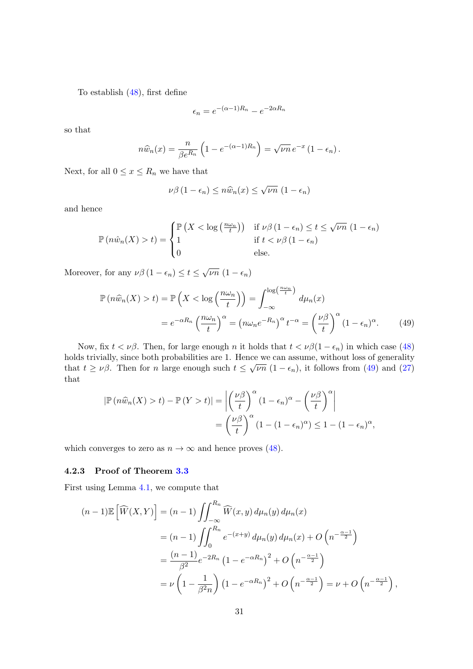To establish [\(48\)](#page-29-1), first define

$$
\epsilon_n = e^{-(\alpha - 1)R_n} - e^{-2\alpha R_n}
$$

so that

$$
n\widehat{w}_n(x) = \frac{n}{\beta e^{R_n}} \left( 1 - e^{-(\alpha - 1)R_n} \right) = \sqrt{\nu n} e^{-x} (1 - \epsilon_n).
$$

Next, for all  $0 \le x \le R_n$  we have that

<span id="page-30-1"></span>
$$
\nu\beta\left(1-\epsilon_n\right)\leq n\widehat{w}_n(x)\leq \sqrt{\nu n}\,\left(1-\epsilon_n\right)
$$

and hence

$$
\mathbb{P}(n\hat{w}_n(X) > t) = \begin{cases} \mathbb{P}\left(X < \log\left(\frac{n\omega_n}{t}\right)\right) & \text{if } \nu\beta \left(1 - \epsilon_n\right) \le t \le \sqrt{\nu n} \left(1 - \epsilon_n\right) \\ 1 & \text{if } t < \nu\beta \left(1 - \epsilon_n\right) \\ 0 & \text{else.} \end{cases}
$$

Moreover, for any  $\nu\beta(1 - \epsilon_n) \le t \le \sqrt{\nu n} (1 - \epsilon_n)$ 

$$
\mathbb{P}\left(n\widehat{w}_{n}(X) > t\right) = \mathbb{P}\left(X < \log\left(\frac{n\omega_{n}}{t}\right)\right) = \int_{-\infty}^{\log\left(\frac{n\omega_{n}}{t}\right)} d\mu_{n}(x)
$$

$$
= e^{-\alpha R_{n}} \left(\frac{n\omega_{n}}{t}\right)^{\alpha} = \left(n\omega_{n}e^{-R_{n}}\right)^{\alpha} t^{-\alpha} = \left(\frac{\nu\beta}{t}\right)^{\alpha} (1 - \epsilon_{n})^{\alpha}.
$$
(49)

Now, fix  $t < \nu\beta$ . Then, for large enough n it holds that  $t < \nu\beta(1 - \epsilon_n)$  in which case [\(48\)](#page-29-1) holds trivially, since both probabilities are 1. Hence we can assume, without loss of generality that  $t \geq \nu\beta$ . Then for n large enough such  $t \leq \sqrt{\nu n} (1 - \epsilon_n)$ , it follows from [\(49\)](#page-30-1) and [\(27\)](#page-15-7) that

$$
|\mathbb{P}(n\widehat{w}_n(X) > t) - \mathbb{P}(Y > t)| = \left| \left(\frac{\nu\beta}{t}\right)^{\alpha} (1 - \epsilon_n)^{\alpha} - \left(\frac{\nu\beta}{t}\right)^{\alpha} \right|
$$
  
= 
$$
\left(\frac{\nu\beta}{t}\right)^{\alpha} (1 - (1 - \epsilon_n)^{\alpha}) \le 1 - (1 - \epsilon_n)^{\alpha},
$$

which converges to zero as  $n \to \infty$  and hence proves [\(48\)](#page-29-1).

#### <span id="page-30-0"></span>4.2.3 Proof of Theorem [3.3](#page-17-3)

First using Lemma [4.1,](#page-20-3) we compute that

$$
(n-1)\mathbb{E}\left[\widehat{W}(X,Y)\right] = (n-1)\iint_{-\infty}^{R_n} \widehat{W}(x,y) d\mu_n(y) d\mu_n(x)
$$
  
\n
$$
= (n-1)\iint_0^{R_n} e^{-(x+y)} d\mu_n(y) d\mu_n(x) + O\left(n^{-\frac{\alpha-1}{2}}\right)
$$
  
\n
$$
= \frac{(n-1)}{\beta^2} e^{-2R_n} \left(1 - e^{-\alpha R_n}\right)^2 + O\left(n^{-\frac{\alpha-1}{2}}\right)
$$
  
\n
$$
= \nu \left(1 - \frac{1}{\beta^2 n}\right) \left(1 - e^{-\alpha R_n}\right)^2 + O\left(n^{-\frac{\alpha-1}{2}}\right) = \nu + O\left(n^{-\frac{\alpha-1}{2}}\right),
$$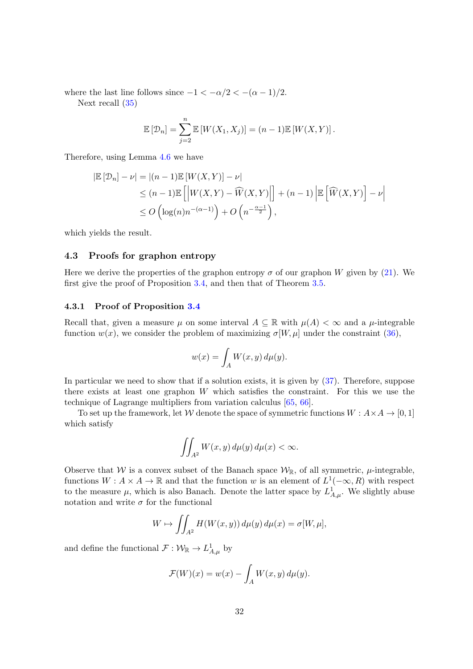where the last line follows since  $-1 < -\alpha/2 < -(\alpha - 1)/2$ .

Next recall [\(35\)](#page-17-5)

$$
\mathbb{E}[\mathcal{D}_n] = \sum_{j=2}^n \mathbb{E}[W(X_1, X_j)] = (n-1)\mathbb{E}[W(X, Y)].
$$

Therefore, using Lemma [4.6](#page-26-1) we have

$$
|\mathbb{E}\left[\mathcal{D}_n\right] - \nu| = |(n-1)\mathbb{E}\left[W(X,Y)\right] - \nu|
$$
  
\n
$$
\leq (n-1)\mathbb{E}\left[\left|W(X,Y) - \widehat{W}(X,Y)\right|\right] + (n-1)\left|\mathbb{E}\left[\widehat{W}(X,Y)\right] - \nu\right|
$$
  
\n
$$
\leq O\left(\log(n)n^{-(\alpha-1)}\right) + O\left(n^{-\frac{\alpha-1}{2}}\right),
$$

which yields the result.

#### <span id="page-31-0"></span>4.3 Proofs for graphon entropy

Here we derive the properties of the graphon entropy  $\sigma$  of our graphon W given by [\(21\)](#page-15-6). We first give the proof of Proposition [3.4,](#page-18-1) and then that of Theorem [3.5.](#page-18-2)

#### <span id="page-31-1"></span>4.3.1 Proof of Proposition [3.4](#page-18-1)

Recall that, given a measure  $\mu$  on some interval  $A \subseteq \mathbb{R}$  with  $\mu(A) < \infty$  and a  $\mu$ -integrable function  $w(x)$ , we consider the problem of maximizing  $\sigma[W,\mu]$  under the constraint [\(36\)](#page-17-4),

$$
w(x) = \int_A W(x, y) \, d\mu(y).
$$

In particular we need to show that if a solution exists, it is given by [\(37\)](#page-18-3). Therefore, suppose there exists at least one graphon  $W$  which satisfies the constraint. For this we use the technique of Lagrange multipliers from variation calculus [\[65,](#page-42-7) [66\]](#page-42-8).

To set up the framework, let W denote the space of symmetric functions  $W : A \times A \rightarrow [0, 1]$ which satisfy

$$
\iint_{A^2} W(x, y) \, d\mu(y) \, d\mu(x) < \infty.
$$

Observe that W is a convex subset of the Banach space  $\mathcal{W}_{\mathbb{R}}$ , of all symmetric,  $\mu$ -integrable, functions  $W: A \times A \to \mathbb{R}$  and that the function w is an element of  $L^1(-\infty, R)$  with respect to the measure  $\mu$ , which is also Banach. Denote the latter space by  $L^1_{A,\mu}$ . We slightly abuse notation and write  $\sigma$  for the functional

$$
W \mapsto \iint_{A^2} H(W(x, y)) d\mu(y) d\mu(x) = \sigma[W, \mu],
$$

and define the functional  $\mathcal{F}: \mathcal{W}_{\mathbb{R}} \to L^1_{A,\mu}$  by

$$
\mathcal{F}(W)(x) = w(x) - \int_A W(x, y) \, d\mu(y).
$$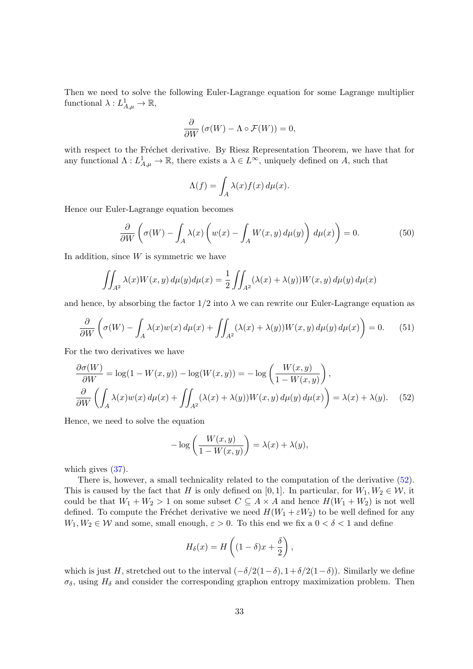Then we need to solve the following Euler-Lagrange equation for some Lagrange multiplier functional  $\lambda: L^1_{A,\mu} \to \mathbb{R}$ ,

$$
\frac{\partial}{\partial W} \left( \sigma(W) - \Lambda \circ \mathcal{F}(W) \right) = 0,
$$

with respect to the Fréchet derivative. By Riesz Representation Theorem, we have that for any functional  $\Lambda: L^1_{A,\mu} \to \mathbb{R}$ , there exists a  $\lambda \in L^{\infty}$ , uniquely defined on A, such that

$$
\Lambda(f) = \int_A \lambda(x) f(x) \, d\mu(x).
$$

Hence our Euler-Lagrange equation becomes

<span id="page-32-1"></span>
$$
\frac{\partial}{\partial W}\left(\sigma(W) - \int_A \lambda(x)\left(w(x) - \int_A W(x,y)\,d\mu(y)\right)\,d\mu(x)\right) = 0.\tag{50}
$$

In addition, since  $W$  is symmetric we have

$$
\iint_{A^2} \lambda(x)W(x,y) d\mu(y)d\mu(x) = \frac{1}{2} \iint_{A^2} (\lambda(x) + \lambda(y))W(x,y) d\mu(y) d\mu(x)
$$

and hence, by absorbing the factor  $1/2$  into  $\lambda$  we can rewrite our Euler-Lagrange equation as

$$
\frac{\partial}{\partial W}\left(\sigma(W) - \int_A \lambda(x)w(x)\,d\mu(x) + \iint_{A^2} (\lambda(x) + \lambda(y))W(x,y)\,d\mu(y)\,d\mu(x)\right) = 0.\tag{51}
$$

For the two derivatives we have

$$
\frac{\partial \sigma(W)}{\partial W} = \log(1 - W(x, y)) - \log(W(x, y)) = -\log\left(\frac{W(x, y)}{1 - W(x, y)}\right),
$$
  

$$
\frac{\partial}{\partial W}\left(\int_A \lambda(x)w(x) d\mu(x) + \iint_{A^2} (\lambda(x) + \lambda(y))W(x, y) d\mu(y) d\mu(x)\right) = \lambda(x) + \lambda(y). \tag{52}
$$

Hence, we need to solve the equation

<span id="page-32-0"></span>
$$
-\log\left(\frac{W(x,y)}{1-W(x,y)}\right) = \lambda(x) + \lambda(y),
$$

which gives  $(37)$ .

There is, however, a small technicality related to the computation of the derivative [\(52\)](#page-32-0). This is caused by the fact that H is only defined on [0, 1]. In particular, for  $W_1, W_2 \in \mathcal{W}$ , it could be that  $W_1 + W_2 > 1$  on some subset  $C \subseteq A \times A$  and hence  $H(W_1 + W_2)$  is not well defined. To compute the Fréchet derivative we need  $H(W_1 + \varepsilon W_2)$  to be well defined for any  $W_1, W_2 \in \mathcal{W}$  and some, small enough,  $\varepsilon > 0$ . To this end we fix a  $0 < \delta < 1$  and define

$$
H_{\delta}(x) = H\left((1-\delta)x + \frac{\delta}{2}\right),\,
$$

which is just H, stretched out to the interval  $(-\delta/2(1-\delta), 1+\delta/2(1-\delta))$ . Similarly we define  $\sigma_{\delta}$ , using  $H_{\delta}$  and consider the corresponding graphon entropy maximization problem. Then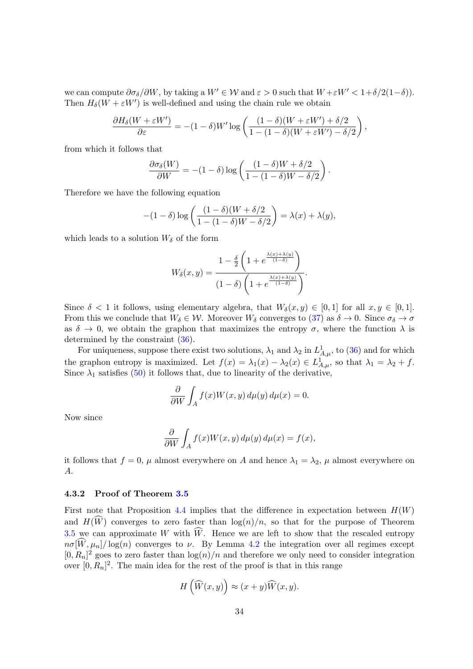we can compute  $\partial \sigma_{\delta}/\partial W$ , by taking a  $W' \in W$  and  $\varepsilon > 0$  such that  $W + \varepsilon W' < 1 + \delta/2(1-\delta)$ ). Then  $H_{\delta}(W + \varepsilon W')$  is well-defined and using the chain rule we obtain

$$
\frac{\partial H_\delta(W+\varepsilon W')}{\partial \varepsilon} = -(1-\delta)W'\log\left(\frac{(1-\delta)(W+\varepsilon W') + \delta/2}{1-(1-\delta)(W+\varepsilon W') - \delta/2}\right),
$$

from which it follows that

$$
\frac{\partial \sigma_{\delta}(W)}{\partial W} = -(1-\delta)\log\left(\frac{(1-\delta)W + \delta/2}{1 - (1-\delta)W - \delta/2}\right)
$$

.

Therefore we have the following equation

$$
-(1-\delta)\log\left(\frac{(1-\delta)(W+\delta/2)}{1-(1-\delta)W-\delta/2}\right)=\lambda(x)+\lambda(y),
$$

which leads to a solution  $W_{\delta}$  of the form

$$
W_{\delta}(x,y) = \frac{1 - \frac{\delta}{2} \left( 1 + e^{\frac{\lambda(x) + \lambda(y)}{(1-\delta)}} \right)}{(1-\delta) \left( 1 + e^{\frac{\lambda(x) + \lambda(y)}{(1-\delta)}} \right)}.
$$

Since  $\delta < 1$  it follows, using elementary algebra, that  $W_{\delta}(x, y) \in [0, 1]$  for all  $x, y \in [0, 1]$ . From this we conclude that  $W_{\delta} \in \mathcal{W}$ . Moreover  $W_{\delta}$  converges to [\(37\)](#page-18-3) as  $\delta \to 0$ . Since  $\sigma_{\delta} \to \sigma$ as  $\delta \to 0$ , we obtain the graphon that maximizes the entropy  $\sigma$ , where the function  $\lambda$  is determined by the constraint [\(36\)](#page-17-4).

For uniqueness, suppose there exist two solutions,  $\lambda_1$  and  $\lambda_2$  in  $L^1_{A,\mu}$ , to [\(36\)](#page-17-4) and for which the graphon entropy is maximized. Let  $f(x) = \lambda_1(x) - \lambda_2(x) \in L^1_{A,\mu}$ , so that  $\lambda_1 = \lambda_2 + f$ . Since  $\lambda_1$  satisfies [\(50\)](#page-32-1) it follows that, due to linearity of the derivative,

$$
\frac{\partial}{\partial W} \int_A f(x)W(x, y) d\mu(y) d\mu(x) = 0.
$$

Now since

$$
\frac{\partial}{\partial W} \int_A f(x)W(x, y) d\mu(y) d\mu(x) = f(x),
$$

it follows that  $f = 0$ ,  $\mu$  almost everywhere on A and hence  $\lambda_1 = \lambda_2$ ,  $\mu$  almost everywhere on A.

#### <span id="page-33-0"></span>4.3.2 Proof of Theorem [3.5](#page-18-2)

First note that Proposition [4.4](#page-24-0) implies that the difference in expectation between  $H(W)$ and  $H(\widehat{W})$  converges to zero faster than  $\log(n)/n$ , so that for the purpose of Theorem [3.5](#page-18-2) we can approximate W with  $\widehat{W}$ . Hence we are left to show that the rescaled entropy  $n\sigma[\widehat{W},\mu_n]/\log(n)$  converges to  $\nu$ . By Lemma [4.2](#page-21-2) the integration over all regimes except  $[0, R_n]^2$  goes to zero faster than  $\log(n)/n$  and therefore we only need to consider integration over  $[0, R_n]^2$ . The main idea for the rest of the proof is that in this range

$$
H\left(\widehat{W}(x,y)\right) \approx (x+y)\widehat{W}(x,y).
$$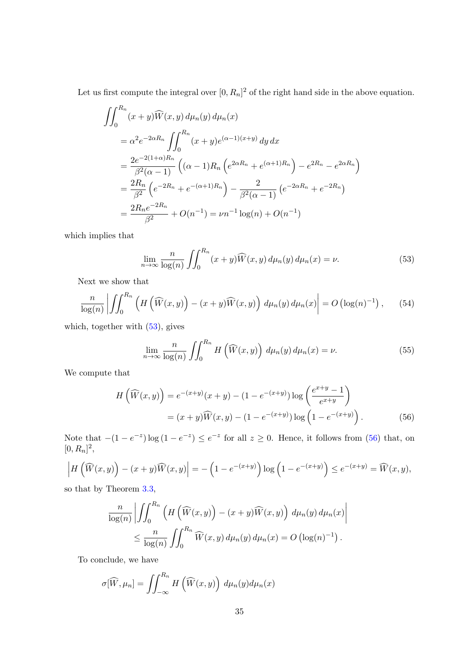Let us first compute the integral over  $[0, R_n]^2$  of the right hand side in the above equation.

$$
\begin{split}\n&\iint_{0}^{R_n} (x+y)\widehat{W}(x,y) \, d\mu_n(y) \, d\mu_n(x) \\
&= \alpha^2 e^{-2\alpha R_n} \iint_{0}^{R_n} (x+y)e^{(\alpha-1)(x+y)} \, dy \, dx \\
&= \frac{2e^{-2(1+\alpha)R_n}}{\beta^2(\alpha-1)} \left( (\alpha-1)R_n \left( e^{2\alpha R_n} + e^{(\alpha+1)R_n} \right) - e^{2R_n} - e^{2\alpha R_n} \right) \\
&= \frac{2R_n}{\beta^2} \left( e^{-2R_n} + e^{-(\alpha+1)R_n} \right) - \frac{2}{\beta^2(\alpha-1)} \left( e^{-2\alpha R_n} + e^{-2R_n} \right) \\
&= \frac{2R_n e^{-2R_n}}{\beta^2} + O(n^{-1}) = \nu n^{-1} \log(n) + O(n^{-1})\n\end{split}
$$

which implies that

<span id="page-34-0"></span>
$$
\lim_{n \to \infty} \frac{n}{\log(n)} \iint_0^{R_n} (x + y) \widehat{W}(x, y) d\mu_n(y) d\mu_n(x) = \nu.
$$
 (53)

Next we show that

$$
\frac{n}{\log(n)}\left|\iint_0^{R_n}\left(H\left(\widehat{W}(x,y)\right)-(x+y)\widehat{W}(x,y)\right)d\mu_n(y)d\mu_n(x)\right|=O\left(\log(n)^{-1}\right),\qquad(54)
$$

which, together with  $(53)$ , gives

<span id="page-34-2"></span><span id="page-34-1"></span>
$$
\lim_{n \to \infty} \frac{n}{\log(n)} \iint_0^{R_n} H\left(\widehat{W}(x, y)\right) d\mu_n(y) d\mu_n(x) = \nu.
$$
 (55)

We compute that

$$
H\left(\widehat{W}(x,y)\right) = e^{-(x+y)}(x+y) - (1 - e^{-(x+y)})\log\left(\frac{e^{x+y}-1}{e^{x+y}}\right)
$$

$$
= (x+y)\widehat{W}(x,y) - (1 - e^{-(x+y)})\log\left(1 - e^{-(x+y)}\right). \tag{56}
$$

Note that  $-(1-e^{-z})\log(1-e^{-z}) \leq e^{-z}$  for all  $z \geq 0$ . Hence, it follows from [\(56\)](#page-34-1) that, on  $[0, R_n]^2$ ,

$$
\left| H\left(\widehat{W}(x,y)\right) - (x+y)\widehat{W}(x,y) \right| = -\left(1 - e^{-(x+y)}\right) \log\left(1 - e^{-(x+y)}\right) \le e^{-(x+y)} = \widehat{W}(x,y),
$$

so that by Theorem [3.3,](#page-17-3)

$$
\frac{n}{\log(n)} \left| \iint_0^{R_n} \left( H\left(\widehat{W}(x,y)\right) - (x+y)\widehat{W}(x,y) \right) d\mu_n(y) d\mu_n(x) \right|
$$
  

$$
\leq \frac{n}{\log(n)} \iint_0^{R_n} \widehat{W}(x,y) d\mu_n(y) d\mu_n(x) = O\left(\log(n)^{-1}\right).
$$

To conclude, we have

$$
\sigma[\widehat{W}, \mu_n] = \iint_{-\infty}^{R_n} H\left(\widehat{W}(x, y)\right) d\mu_n(y) d\mu_n(x)
$$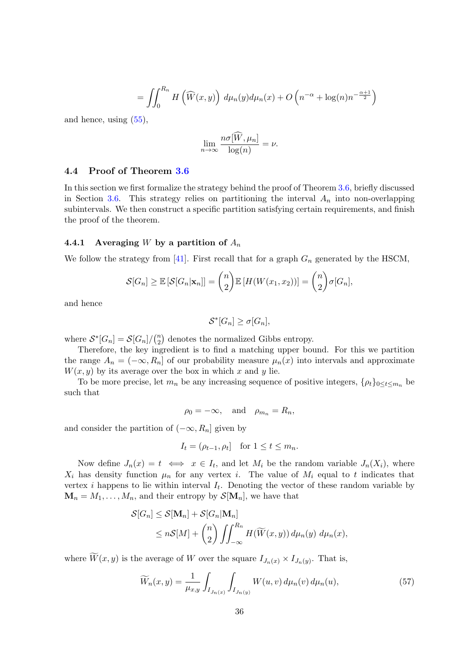$$
= \iint_0^{R_n} H\left(\widehat{W}(x,y)\right) d\mu_n(y) d\mu_n(x) + O\left(n^{-\alpha} + \log(n)n^{-\frac{\alpha+1}{2}}\right)
$$

and hence, using [\(55\)](#page-34-2),

$$
\lim_{n \to \infty} \frac{n\sigma[\widehat{W}, \mu_n]}{\log(n)} = \nu.
$$

#### <span id="page-35-0"></span>4.4 Proof of Theorem [3.6](#page-19-1)

In this section we first formalize the strategy behind the proof of Theorem [3.6,](#page-19-1) briefly discussed in Section [3.6.](#page-19-0) This strategy relies on partitioning the interval  $A_n$  into non-overlapping subintervals. We then construct a specific partition satisfying certain requirements, and finish the proof of the theorem.

#### <span id="page-35-1"></span>4.4.1 Averaging W by a partition of  $A_n$

We follow the strategy from [\[41\]](#page-41-0). First recall that for a graph  $G_n$  generated by the HSCM,

$$
\mathcal{S}[G_n] \geq \mathbb{E}\left[\mathcal{S}[G_n|\mathbf{x}_n]\right] = \binom{n}{2} \mathbb{E}\left[H(W(x_1,x_2))\right] = \binom{n}{2} \sigma[G_n],
$$

and hence

$$
\mathcal{S}^*[G_n] \ge \sigma[G_n],
$$

where  $S^*[G_n] = S[G_n]/\binom{n}{2}$  $n \choose 2$  denotes the normalized Gibbs entropy.

Therefore, the key ingredient is to find a matching upper bound. For this we partition the range  $A_n = (-\infty, R_n]$  of our probability measure  $\mu_n(x)$  into intervals and approximate  $W(x, y)$  by its average over the box in which x and y lie.

To be more precise, let  $m_n$  be any increasing sequence of positive integers,  $\{\rho_t\}_{0 \leq t \leq m_n}$  be such that

$$
\rho_0 = -\infty, \quad \text{and} \quad \rho_{m_n} = R_n,
$$

and consider the partition of  $(-\infty, R_n]$  given by

$$
I_t = (\rho_{t-1}, \rho_t] \quad \text{for } 1 \le t \le m_n.
$$

Now define  $J_n(x) = t \iff x \in I_t$ , and let  $M_i$  be the random variable  $J_n(X_i)$ , where  $X_i$  has density function  $\mu_n$  for any vertex i. The value of  $M_i$  equal to t indicates that vertex *i* happens to lie within interval  $I_t$ . Denoting the vector of these random variable by  $\mathbf{M}_n = M_1, \ldots, M_n$ , and their entropy by  $\mathcal{S}[\mathbf{M}_n]$ , we have that

$$
\mathcal{S}[G_n] \leq \mathcal{S}[\mathbf{M}_n] + \mathcal{S}[G_n|\mathbf{M}_n]
$$
  
\n
$$
\leq n\mathcal{S}[M] + {n \choose 2} \iint_{-\infty}^{R_n} H(\widetilde{W}(x,y)) d\mu_n(y) d\mu_n(x),
$$

where  $W(x, y)$  is the average of W over the square  $I_{J_n(x)} \times I_{J_n(y)}$ . That is,

$$
\widetilde{W}_n(x,y) = \frac{1}{\mu_{x,y}} \int_{I_{J_n(x)}} \int_{I_{J_n(y)}} W(u,v) \, d\mu_n(v) \, d\mu_n(u), \tag{57}
$$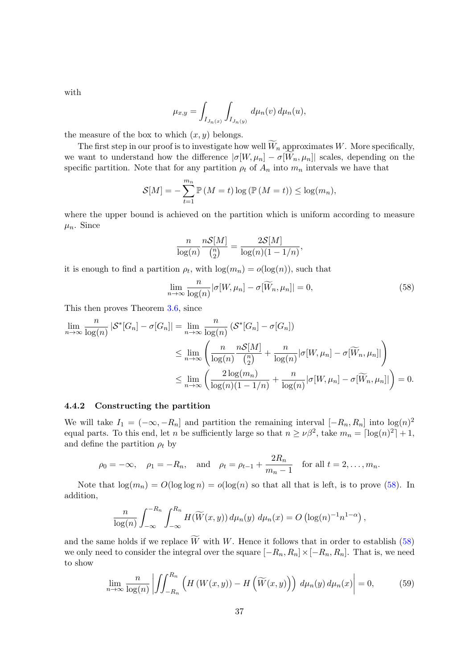with

$$
\mu_{x,y} = \int_{I_{J_n(x)}} \int_{I_{J_n(y)}} d\mu_n(v) d\mu_n(u),
$$

the measure of the box to which  $(x, y)$  belongs.

The first step in our proof is to investigate how well  $\widetilde{W}_n$  approximates W. More specifically, we want to understand how the difference  $|\sigma[W,\mu_n]-\sigma[W_n,\mu_n]|$  scales, depending on the specific partition. Note that for any partition  $\rho_t$  of  $A_n$  into  $m_n$  intervals we have that

$$
\mathcal{S}[M] = -\sum_{t=1}^{m_n} \mathbb{P}\left(M = t\right) \log \left(\mathbb{P}\left(M = t\right)\right) \le \log(m_n),
$$

where the upper bound is achieved on the partition which is uniform according to measure  $\mu_n$ . Since

$$
\frac{n}{\log(n)} \frac{n \mathcal{S}[M]}{\binom{n}{2}} = \frac{2 \mathcal{S}[M]}{\log(n)(1 - 1/n)},
$$

it is enough to find a partition  $\rho_t$ , with  $\log(m_n) = o(\log(n))$ , such that

<span id="page-36-1"></span>
$$
\lim_{n \to \infty} \frac{n}{\log(n)} |\sigma[W, \mu_n] - \sigma[\widetilde{W}_n, \mu_n]| = 0,
$$
\n(58)

This then proves Theorem [3.6,](#page-19-1) since

$$
\lim_{n \to \infty} \frac{n}{\log(n)} |\mathcal{S}^* [G_n] - \sigma[G_n]| = \lim_{n \to \infty} \frac{n}{\log(n)} (\mathcal{S}^* [G_n] - \sigma[G_n])
$$
\n
$$
\leq \lim_{n \to \infty} \left( \frac{n}{\log(n)} \frac{n \mathcal{S}[M]}{\binom{n}{2}} + \frac{n}{\log(n)} |\sigma[W, \mu_n] - \sigma[\widetilde{W}_n, \mu_n]| \right)
$$
\n
$$
\leq \lim_{n \to \infty} \left( \frac{2 \log(m_n)}{\log(n)(1 - 1/n)} + \frac{n}{\log(n)} |\sigma[W, \mu_n] - \sigma[\widetilde{W}_n, \mu_n]| \right) = 0.
$$

#### <span id="page-36-0"></span>4.4.2 Constructing the partition

We will take  $I_1 = (-\infty, -R_n]$  and partition the remaining interval  $[-R_n, R_n]$  into  $\log(n)^2$ equal parts. To this end, let n be sufficiently large so that  $n \geq \nu \beta^2$ , take  $m_n = \lceil \log(n)^2 \rceil + 1$ , and define the partition  $\rho_t$  by

$$
\rho_0 = -\infty
$$
,  $\rho_1 = -R_n$ , and  $\rho_t = \rho_{t-1} + \frac{2R_n}{m_n - 1}$  for all  $t = 2, ..., m_n$ .

Note that  $\log(m_n) = O(\log \log n) = o(\log(n))$  so that all that is left, is to prove [\(58\)](#page-36-1). In addition,

$$
\frac{n}{\log(n)} \int_{-\infty}^{-R_n} \int_{-\infty}^{R_n} H(\widetilde{W}(x, y)) d\mu_n(y) d\mu_n(x) = O\left(\log(n)^{-1} n^{1-\alpha}\right),
$$

and the same holds if we replace  $\widetilde{W}$  with W. Hence it follows that in order to establish [\(58\)](#page-36-1) we only need to consider the integral over the square  $[-R_n, R_n] \times [-R_n, R_n]$ . That is, we need to show

<span id="page-36-2"></span>
$$
\lim_{n \to \infty} \frac{n}{\log(n)} \left| \iint_{-R_n}^{R_n} \left( H\left(W(x, y)\right) - H\left(\widetilde{W}(x, y)\right) \right) \, d\mu_n(y) \, d\mu_n(x) \right| = 0,\tag{59}
$$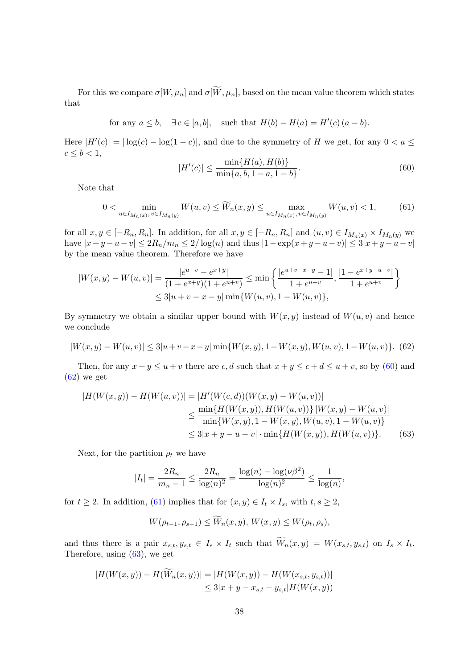For this we compare  $\sigma[W,\mu_n]$  and  $\sigma[\widetilde{W},\mu_n]$ , based on the mean value theorem which states that

for any  $a \leq b$ ,  $\exists c \in [a, b]$ , such that  $H(b) - H(a) = H'(c) (a - b)$ .

Here  $|H'(c)| = |\log(c) - \log(1-c)|$ , and due to the symmetry of H we get, for any  $0 < a \leq$  $c \leq b < 1$ ,

<span id="page-37-0"></span>
$$
|H'(c)| \le \frac{\min\{H(a), H(b)\}}{\min\{a, b, 1 - a, 1 - b\}}.\tag{60}
$$

Note that

<span id="page-37-2"></span>
$$
0 < \min_{u \in I_{M_n(x)}, v \in I_{M_n(y)}} W(u, v) \le \widetilde{W}_n(x, y) \le \max_{u \in I_{M_n(x)}, v \in I_{M_n(y)}} W(u, v) < 1,\tag{61}
$$

for all  $x, y \in [-R_n, R_n]$ . In addition, for all  $x, y \in [-R_n, R_n]$  and  $(u, v) \in I_{M_n(x)} \times I_{M_n(y)}$  we have  $|x+y-u-v| \leq 2R_n/m_n \leq 2/\log(n)$  and thus  $|1-\exp(x+y-u-v)| \leq 3|x+y-u-v|$ by the mean value theorem. Therefore we have

$$
|W(x,y) - W(u,v)| = \frac{|e^{u+v} - e^{x+y}|}{(1 + e^{x+y})(1 + e^{u+v})} \le \min\left\{\frac{|e^{u+v-x-y} - 1|}{1 + e^{u+v}}, \frac{|1 - e^{x+y-u-v}|}{1 + e^{u+v}}\right\}
$$
  

$$
\le 3|u+v-x-y| \min\{W(u,v), 1 - W(u,v)\},
$$

By symmetry we obtain a similar upper bound with  $W(x, y)$  instead of  $W(u, v)$  and hence we conclude

<span id="page-37-1"></span>
$$
|W(x,y) - W(u,v)| \le 3|u + v - x - y| \min\{W(x,y), 1 - W(x,y), W(u,v), 1 - W(u,v)\}. (62)
$$

Then, for any  $x + y \le u + v$  there are c, d such that  $x + y \le c + d \le u + v$ , so by [\(60\)](#page-37-0) and  $(62)$  we get

$$
|H(W(x,y)) - H(W(u,v))| = |H'(W(c,d))(W(x,y) - W(u,v))|
$$
  
\n
$$
\leq \frac{\min\{H(W(x,y)), H(W(u,v))\}|W(x,y) - W(u,v)|}{\min\{W(x,y), 1 - W(x,y), W(u,v), 1 - W(u,v)\}}
$$
  
\n
$$
\leq 3|x + y - u - v| \cdot \min\{H(W(x,y)), H(W(u,v))\}. \tag{63}
$$

Next, for the partition  $\rho_t$  we have

$$
|I_t| = \frac{2R_n}{m_n - 1} \le \frac{2R_n}{\log(n)^2} = \frac{\log(n) - \log(\nu \beta^2)}{\log(n)^2} \le \frac{1}{\log(n)},
$$

for  $t \geq 2$ . In addition, [\(61\)](#page-37-2) implies that for  $(x, y) \in I_t \times I_s$ , with  $t, s \geq 2$ ,

<span id="page-37-3"></span>
$$
W(\rho_{t-1}, \rho_{s-1}) \le W_n(x, y), W(x, y) \le W(\rho_t, \rho_s),
$$

and thus there is a pair  $x_{s,t}, y_{s,t} \in I_s \times I_t$  such that  $W_n(x,y) = W(x_{s,t}, y_{s,t})$  on  $I_s \times I_t$ . Therefore, using [\(63\)](#page-37-3), we get

$$
|H(W(x,y)) - H(\overline{W}_n(x,y))| = |H(W(x,y)) - H(W(x_{s,t}, y_{s,t}))|
$$
  

$$
\leq 3|x + y - x_{s,t} - y_{s,t}|H(W(x,y))
$$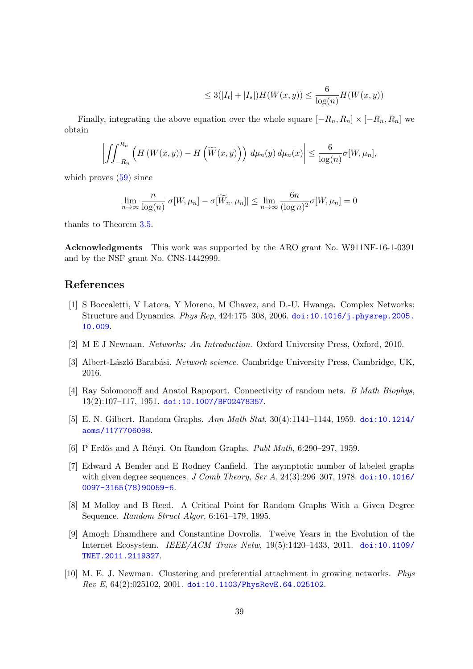$$
\leq 3(|I_t| + |I_s|)H(W(x, y)) \leq \frac{6}{\log(n)}H(W(x, y))
$$

Finally, integrating the above equation over the whole square  $[-R_n, R_n] \times [-R_n, R_n]$  we obtain

$$
\left| \iint_{-R_n}^{R_n} \left( H\left(W(x,y)\right) - H\left(\widetilde{W}(x,y)\right) \right) d\mu_n(y) d\mu_n(x) \right| \leq \frac{6}{\log(n)} \sigma[W,\mu_n],
$$

which proves  $(59)$  since

$$
\lim_{n \to \infty} \frac{n}{\log(n)} |\sigma[W, \mu_n] - \sigma[\widetilde{W}_n, \mu_n]| \le \lim_{n \to \infty} \frac{6n}{(\log n)^2} \sigma[W, \mu_n] = 0
$$

thanks to Theorem [3.5.](#page-18-2)

Acknowledgments This work was supported by the ARO grant No. W911NF-16-1-0391 and by the NSF grant No. CNS-1442999.

### References

- <span id="page-38-0"></span>[1] S Boccaletti, V Latora, Y Moreno, M Chavez, and D.-U. Hwanga. Complex Networks: Structure and Dynamics. Phys Rep, 424:175–308, 2006. [doi:10.1016/j.physrep.2005.](http://dx.doi.org/10.1016/j.physrep.2005.10.009) [10.009](http://dx.doi.org/10.1016/j.physrep.2005.10.009).
- [2] M E J Newman. Networks: An Introduction. Oxford University Press, Oxford, 2010.
- <span id="page-38-1"></span>[3] Albert-László Barabási. Network science. Cambridge University Press, Cambridge, UK, 2016.
- <span id="page-38-2"></span>[4] Ray Solomonoff and Anatol Rapoport. Connectivity of random nets. B Math Biophys, 13(2):107–117, 1951. [doi:10.1007/BF02478357](http://dx.doi.org/10.1007/BF02478357).
- [5] E. N. Gilbert. Random Graphs. Ann Math Stat, 30(4):1141–1144, 1959. [doi:10.1214/](http://dx.doi.org/10.1214/aoms/1177706098) [aoms/1177706098](http://dx.doi.org/10.1214/aoms/1177706098).
- <span id="page-38-3"></span>[6] P Erdős and A Rényi. On Random Graphs. *Publ Math*, 6:290–297, 1959.
- <span id="page-38-4"></span>[7] Edward A Bender and E Rodney Canfield. The asymptotic number of labeled graphs with given degree sequences. J Comb Theory, Ser A,  $24(3):296-307$ , 1978. [doi:10.1016/](http://dx.doi.org/10.1016/0097-3165(78)90059-6) [0097-3165\(78\)90059-6](http://dx.doi.org/10.1016/0097-3165(78)90059-6).
- <span id="page-38-5"></span>[8] M Molloy and B Reed. A Critical Point for Random Graphs With a Given Degree Sequence. Random Struct Algor, 6:161–179, 1995.
- <span id="page-38-6"></span>[9] Amogh Dhamdhere and Constantine Dovrolis. Twelve Years in the Evolution of the Internet Ecosystem. IEEE/ACM Trans Netw, 19(5):1420–1433, 2011. [doi:10.1109/](http://dx.doi.org/10.1109/TNET.2011.2119327) [TNET.2011.2119327](http://dx.doi.org/10.1109/TNET.2011.2119327).
- <span id="page-38-7"></span>[10] M. E. J. Newman. Clustering and preferential attachment in growing networks. Phys Rev E, 64(2):025102, 2001. [doi:10.1103/PhysRevE.64.025102](http://dx.doi.org/10.1103/PhysRevE.64.025102).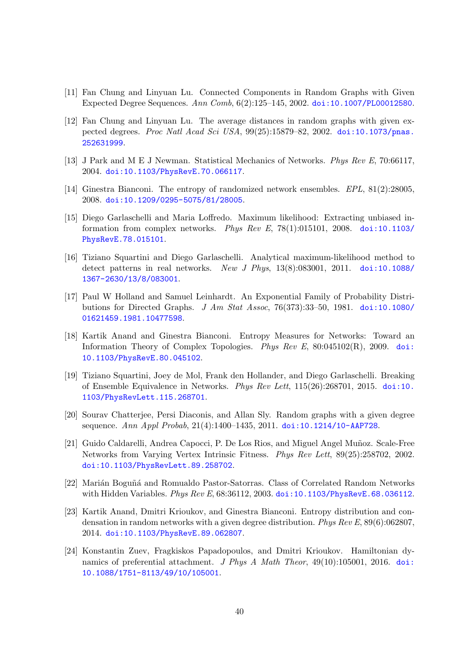- <span id="page-39-0"></span>[11] Fan Chung and Linyuan Lu. Connected Components in Random Graphs with Given Expected Degree Sequences. Ann Comb, 6(2):125–145, 2002. [doi:10.1007/PL00012580](http://dx.doi.org/10.1007/PL00012580).
- <span id="page-39-1"></span>[12] Fan Chung and Linyuan Lu. The average distances in random graphs with given expected degrees. Proc Natl Acad Sci USA, 99(25):15879–82, 2002. [doi:10.1073/pnas.](http://dx.doi.org/10.1073/pnas.252631999) [252631999](http://dx.doi.org/10.1073/pnas.252631999).
- <span id="page-39-2"></span>[13] J Park and M E J Newman. Statistical Mechanics of Networks. Phys Rev E, 70:66117, 2004. [doi:10.1103/PhysRevE.70.066117](http://dx.doi.org/10.1103/PhysRevE.70.066117).
- <span id="page-39-11"></span>[14] Ginestra Bianconi. The entropy of randomized network ensembles. EPL, 81(2):28005, 2008. [doi:10.1209/0295-5075/81/28005](http://dx.doi.org/10.1209/0295-5075/81/28005).
- <span id="page-39-10"></span>[15] Diego Garlaschelli and Maria Loffredo. Maximum likelihood: Extracting unbiased information from complex networks. Phys Rev E, 78(1):015101, 2008. [doi:10.1103/](http://dx.doi.org/10.1103/PhysRevE.78.015101) [PhysRevE.78.015101](http://dx.doi.org/10.1103/PhysRevE.78.015101).
- <span id="page-39-3"></span>[16] Tiziano Squartini and Diego Garlaschelli. Analytical maximum-likelihood method to detect patterns in real networks. New J Phys, 13(8):083001, 2011. [doi:10.1088/](http://dx.doi.org/10.1088/1367-2630/13/8/083001) [1367-2630/13/8/083001](http://dx.doi.org/10.1088/1367-2630/13/8/083001).
- <span id="page-39-4"></span>[17] Paul W Holland and Samuel Leinhardt. An Exponential Family of Probability Distributions for Directed Graphs. J Am Stat Assoc, 76(373):33-50, 1981. [doi:10.1080/](http://dx.doi.org/10.1080/01621459.1981.10477598) [01621459.1981.10477598](http://dx.doi.org/10.1080/01621459.1981.10477598).
- <span id="page-39-5"></span>[18] Kartik Anand and Ginestra Bianconi. Entropy Measures for Networks: Toward an Information Theory of Complex Topologies. Phys Rev E, 80:045102(R), 2009. [doi:](http://dx.doi.org/10.1103/PhysRevE.80.045102) [10.1103/PhysRevE.80.045102](http://dx.doi.org/10.1103/PhysRevE.80.045102).
- <span id="page-39-6"></span>[19] Tiziano Squartini, Joey de Mol, Frank den Hollander, and Diego Garlaschelli. Breaking of Ensemble Equivalence in Networks. Phys Rev Lett, 115(26):268701, 2015. [doi:10.](http://dx.doi.org/10.1103/PhysRevLett.115.268701) [1103/PhysRevLett.115.268701](http://dx.doi.org/10.1103/PhysRevLett.115.268701).
- <span id="page-39-7"></span>[20] Sourav Chatterjee, Persi Diaconis, and Allan Sly. Random graphs with a given degree sequence. Ann Appl Probab, 21(4):1400–1435, 2011. [doi:10.1214/10-AAP728](http://dx.doi.org/10.1214/10-AAP728).
- <span id="page-39-8"></span>[21] Guido Caldarelli, Andrea Capocci, P. De Los Rios, and Miguel Angel Muñoz. Scale-Free Networks from Varying Vertex Intrinsic Fitness. Phys Rev Lett, 89(25):258702, 2002. [doi:10.1103/PhysRevLett.89.258702](http://dx.doi.org/10.1103/PhysRevLett.89.258702).
- <span id="page-39-12"></span>[22] Marián Boguñá and Romualdo Pastor-Satorras. Class of Correlated Random Networks with Hidden Variables. Phys Rev E, 68:36112, 2003. [doi:10.1103/PhysRevE.68.036112](http://dx.doi.org/10.1103/PhysRevE.68.036112).
- <span id="page-39-13"></span>[23] Kartik Anand, Dmitri Krioukov, and Ginestra Bianconi. Entropy distribution and condensation in random networks with a given degree distribution. Phys Rev E, 89(6):062807, 2014. [doi:10.1103/PhysRevE.89.062807](http://dx.doi.org/10.1103/PhysRevE.89.062807).
- <span id="page-39-9"></span>[24] Konstantin Zuev, Fragkiskos Papadopoulos, and Dmitri Krioukov. Hamiltonian dynamics of preferential attachment. J Phys A Math Theor, 49(10):105001, 2016. [doi:](http://dx.doi.org/10.1088/1751-8113/49/10/105001) [10.1088/1751-8113/49/10/105001](http://dx.doi.org/10.1088/1751-8113/49/10/105001).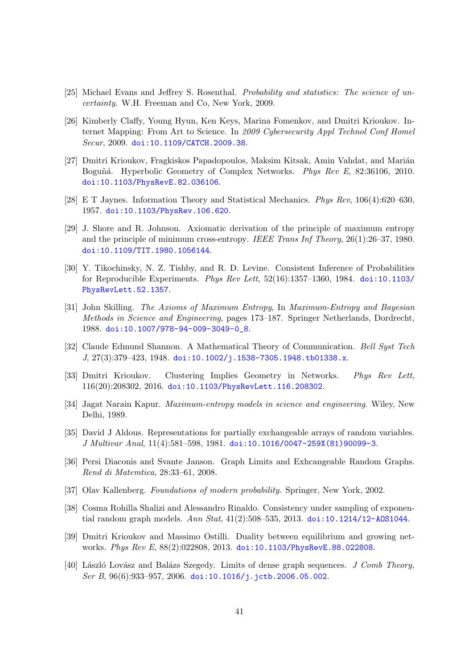- <span id="page-40-0"></span>[25] Michael Evans and Jeffrey S. Rosenthal. Probability and statistics: The science of uncertainty. W.H. Freeman and Co, New York, 2009.
- <span id="page-40-1"></span>[26] Kimberly Claffy, Young Hyun, Ken Keys, Marina Fomenkov, and Dmitri Krioukov. Internet Mapping: From Art to Science. In 2009 Cybersecurity Appl Technol Conf Homel Secur, 2009. [doi:10.1109/CATCH.2009.38](http://dx.doi.org/10.1109/CATCH.2009.38).
- <span id="page-40-2"></span>[27] Dmitri Krioukov, Fragkiskos Papadopoulos, Maksim Kitsak, Amin Vahdat, and Marián Boguñá. Hyperbolic Geometry of Complex Networks. Phys Rev E, 82:36106, 2010. [doi:10.1103/PhysRevE.82.036106](http://dx.doi.org/10.1103/PhysRevE.82.036106).
- <span id="page-40-3"></span>[28] E T Jaynes. Information Theory and Statistical Mechanics. Phys Rev, 106(4):620–630, 1957. [doi:10.1103/PhysRev.106.620](http://dx.doi.org/10.1103/PhysRev.106.620).
- <span id="page-40-4"></span>[29] J. Shore and R. Johnson. Axiomatic derivation of the principle of maximum entropy and the principle of minimum cross-entropy. IEEE Trans Inf Theory, 26(1):26–37, 1980. [doi:10.1109/TIT.1980.1056144](http://dx.doi.org/10.1109/TIT.1980.1056144).
- [30] Y. Tikochinsky, N. Z. Tishby, and R. D. Levine. Consistent Inference of Probabilities for Reproducible Experiments. Phys Rev Lett,  $52(16):1357-1360$ , 1984. [doi:10.1103/](http://dx.doi.org/10.1103/PhysRevLett.52.1357) [PhysRevLett.52.1357](http://dx.doi.org/10.1103/PhysRevLett.52.1357).
- <span id="page-40-5"></span>[31] John Skilling. The Axioms of Maximum Entropy, In Maximum-Entropy and Bayesian Methods in Science and Engineering, pages 173–187. Springer Netherlands, Dordrecht, 1988. [doi:10.1007/978-94-009-3049-0\\_8](http://dx.doi.org/10.1007/978-94-009-3049-0_8).
- <span id="page-40-6"></span>[32] Claude Edmund Shannon. A Mathematical Theory of Communication. Bell Syst Tech J, 27(3):379–423, 1948. [doi:10.1002/j.1538-7305.1948.tb01338.x](http://dx.doi.org/10.1002/j.1538-7305.1948.tb01338.x).
- <span id="page-40-7"></span>[33] Dmitri Krioukov. Clustering Implies Geometry in Networks. Phys Rev Lett, 116(20):208302, 2016. [doi:10.1103/PhysRevLett.116.208302](http://dx.doi.org/10.1103/PhysRevLett.116.208302).
- <span id="page-40-8"></span>[34] Jagat Narain Kapur. Maximum-entropy models in science and engineering. Wiley, New Delhi, 1989.
- <span id="page-40-9"></span>[35] David J Aldous. Representations for partially exchangeable arrays of random variables. J Multivar Anal, 11(4):581–598, 1981. [doi:10.1016/0047-259X\(81\)90099-3](http://dx.doi.org/10.1016/0047-259X(81)90099-3).
- <span id="page-40-10"></span>[36] Persi Diaconis and Svante Janson. Graph Limits and Exhcangeable Random Graphs. Rend di Matemtica, 28:33–61, 2008.
- <span id="page-40-11"></span>[37] Olav Kallenberg. Foundations of modern probability. Springer, New York, 2002.
- <span id="page-40-12"></span>[38] Cosma Rohilla Shalizi and Alessandro Rinaldo. Consistency under sampling of exponential random graph models. Ann Stat,  $41(2)$ :508–535, 2013. doi:10.1214/12-A0S1044.
- <span id="page-40-13"></span>[39] Dmitri Krioukov and Massimo Ostilli. Duality between equilibrium and growing networks. Phys Rev E, 88(2):022808, 2013. [doi:10.1103/PhysRevE.88.022808](http://dx.doi.org/10.1103/PhysRevE.88.022808).
- <span id="page-40-14"></span>[40] László Lovász and Balázs Szegedy. Limits of dense graph sequences. J Comb Theory, Ser B, 96(6):933-957, 2006. [doi:10.1016/j.jctb.2006.05.002](http://dx.doi.org/10.1016/j.jctb.2006.05.002).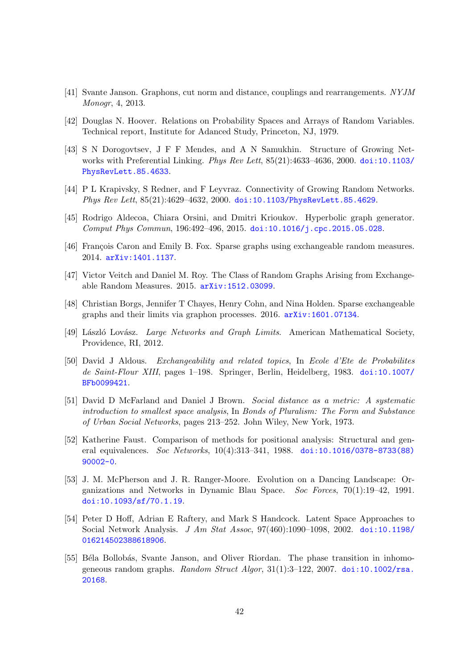- <span id="page-41-0"></span>[41] Svante Janson. Graphons, cut norm and distance, couplings and rearrangements. NYJM Monogr, 4, 2013.
- <span id="page-41-1"></span>[42] Douglas N. Hoover. Relations on Probability Spaces and Arrays of Random Variables. Technical report, Institute for Adanced Study, Princeton, NJ, 1979.
- <span id="page-41-2"></span>[43] S N Dorogovtsev, J F F Mendes, and A N Samukhin. Structure of Growing Networks with Preferential Linking. Phys Rev Lett, 85(21):4633–4636, 2000. [doi:10.1103/](http://dx.doi.org/10.1103/PhysRevLett.85.4633) [PhysRevLett.85.4633](http://dx.doi.org/10.1103/PhysRevLett.85.4633).
- <span id="page-41-3"></span>[44] P L Krapivsky, S Redner, and F Leyvraz. Connectivity of Growing Random Networks. Phys Rev Lett, 85(21):4629–4632, 2000. [doi:10.1103/PhysRevLett.85.4629](http://dx.doi.org/10.1103/PhysRevLett.85.4629).
- <span id="page-41-4"></span>[45] Rodrigo Aldecoa, Chiara Orsini, and Dmitri Krioukov. Hyperbolic graph generator. Comput Phys Commun, 196:492–496, 2015. [doi:10.1016/j.cpc.2015.05.028](http://dx.doi.org/10.1016/j.cpc.2015.05.028).
- <span id="page-41-5"></span>[46] François Caron and Emily B. Fox. Sparse graphs using exchangeable random measures. 2014. [arXiv:1401.1137](http://arxiv.org/abs/1401.1137).
- <span id="page-41-7"></span>[47] Victor Veitch and Daniel M. Roy. The Class of Random Graphs Arising from Exchangeable Random Measures. 2015. [arXiv:1512.03099](http://arxiv.org/abs/1512.03099).
- <span id="page-41-6"></span>[48] Christian Borgs, Jennifer T Chayes, Henry Cohn, and Nina Holden. Sparse exchangeable graphs and their limits via graphon processes. 2016. [arXiv:1601.07134](http://arxiv.org/abs/1601.07134).
- <span id="page-41-8"></span>[49] László Lovász. Large Networks and Graph Limits. American Mathematical Society, Providence, RI, 2012.
- <span id="page-41-9"></span>[50] David J Aldous. Exchangeability and related topics, In Ecole d'Ete de Probabilites de Saint-Flour XIII, pages 1–198. Springer, Berlin, Heidelberg, 1983. [doi:10.1007/](http://dx.doi.org/10.1007/BFb0099421) [BFb0099421](http://dx.doi.org/10.1007/BFb0099421).
- <span id="page-41-10"></span>[51] David D McFarland and Daniel J Brown. Social distance as a metric: A systematic introduction to smallest space analysis, In Bonds of Pluralism: The Form and Substance of Urban Social Networks, pages 213–252. John Wiley, New York, 1973.
- [52] Katherine Faust. Comparison of methods for positional analysis: Structural and general equivalences. Soc Networks, 10(4):313–341, 1988. [doi:10.1016/0378-8733\(88\)](http://dx.doi.org/10.1016/0378-8733(88)90002-0) [90002-0](http://dx.doi.org/10.1016/0378-8733(88)90002-0).
- [53] J. M. McPherson and J. R. Ranger-Moore. Evolution on a Dancing Landscape: Organizations and Networks in Dynamic Blau Space. Soc Forces, 70(1):19–42, 1991. [doi:10.1093/sf/70.1.19](http://dx.doi.org/10.1093/sf/70.1.19).
- <span id="page-41-11"></span>[54] Peter D Hoff, Adrian E Raftery, and Mark S Handcock. Latent Space Approaches to Social Network Analysis. J Am Stat Assoc, 97(460):1090–1098, 2002. [doi:10.1198/](http://dx.doi.org/10.1198/016214502388618906) [016214502388618906](http://dx.doi.org/10.1198/016214502388618906).
- <span id="page-41-12"></span>[55] Béla Bollobás, Svante Janson, and Oliver Riordan. The phase transition in inhomogeneous random graphs. Random Struct Algor,  $31(1):3-122$ ,  $2007$ . [doi:10.1002/rsa.](http://dx.doi.org/10.1002/rsa.20168) [20168](http://dx.doi.org/10.1002/rsa.20168).